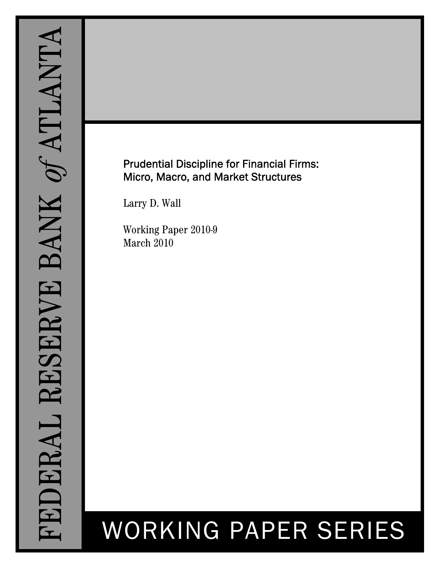## Prudential Discipline for Financial Firms: Micro, Macro, and Market Structures

Larry D. Wall

Working Paper 2010-9 March 2010

# WORKING PAPER SERIES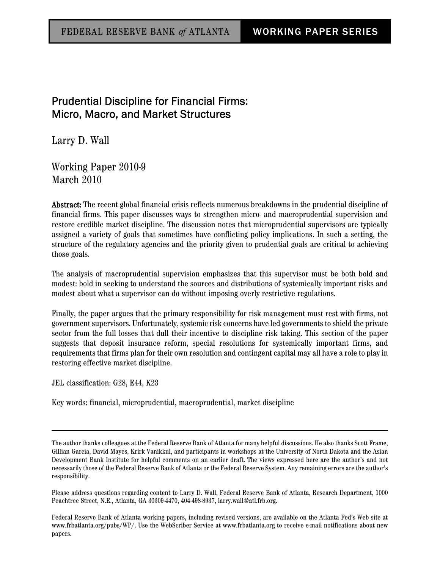### Prudential Discipline for Financial Firms: Micro, Macro, and Market Structures

Larry D. Wall

Working Paper 2010-9 March 2010

Abstract: The recent global financial crisis reflects numerous breakdowns in the prudential discipline of financial firms. This paper discusses ways to strengthen micro- and macroprudential supervision and restore credible market discipline. The discussion notes that microprudential supervisors are typically assigned a variety of goals that sometimes have conflicting policy implications. In such a setting, the structure of the regulatory agencies and the priority given to prudential goals are critical to achieving those goals.

The analysis of macroprudential supervision emphasizes that this supervisor must be both bold and modest: bold in seeking to understand the sources and distributions of systemically important risks and modest about what a supervisor can do without imposing overly restrictive regulations.

Finally, the paper argues that the primary responsibility for risk management must rest with firms, not government supervisors. Unfortunately, systemic risk concerns have led governments to shield the private sector from the full losses that dull their incentive to discipline risk taking. This section of the paper suggests that deposit insurance reform, special resolutions for systemically important firms, and requirements that firms plan for their own resolution and contingent capital may all have a role to play in restoring effective market discipline.

JEL classification: G28, E44, K23

Key words: financial, microprudential, macroprudential, market discipline

The author thanks colleagues at the Federal Reserve Bank of Atlanta for many helpful discussions. He also thanks Scott Frame, Gillian Garcia, David Mayes, Krirk Vanikkul, and participants in workshops at the University of North Dakota and the Asian Development Bank Institute for helpful comments on an earlier draft. The views expressed here are the author's and not necessarily those of the Federal Reserve Bank of Atlanta or the Federal Reserve System. Any remaining errors are the author's responsibility.

Please address questions regarding content to Larry D. Wall, Federal Reserve Bank of Atlanta, Research Department, 1000 Peachtree Street, N.E., Atlanta, GA 30309-4470, 404-498-8937, larry.wall@atl.frb.org.

Federal Reserve Bank of Atlanta working papers, including revised versions, are available on the Atlanta Fed's Web site at www.frbatlanta.org/pubs/WP/. Use the WebScriber Service at www.frbatlanta.org to receive e-mail notifications about new papers.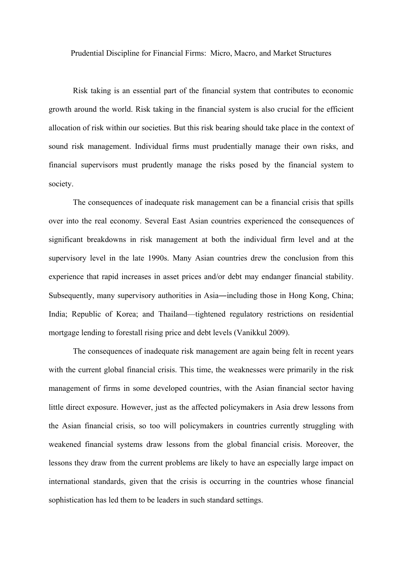Prudential Discipline for Financial Firms: Micro, Macro, and Market Structures

Risk taking is an essential part of the financial system that contributes to economic growth around the world. Risk taking in the financial system is also crucial for the efficient allocation of risk within our societies. But this risk bearing should take place in the context of sound risk management. Individual firms must prudentially manage their own risks, and financial supervisors must prudently manage the risks posed by the financial system to society.

The consequences of inadequate risk management can be a financial crisis that spills over into the real economy. Several East Asian countries experienced the consequences of significant breakdowns in risk management at both the individual firm level and at the supervisory level in the late 1990s. Many Asian countries drew the conclusion from this experience that rapid increases in asset prices and/or debt may endanger financial stability. Subsequently, many supervisory authorities in Asia―including those in Hong Kong, China; India; Republic of Korea; and Thailand—tightened regulatory restrictions on residential mortgage lending to forestall rising price and debt levels (Vanikkul 2009).

The consequences of inadequate risk management are again being felt in recent years with the current global financial crisis. This time, the weaknesses were primarily in the risk management of firms in some developed countries, with the Asian financial sector having little direct exposure. However, just as the affected policymakers in Asia drew lessons from the Asian financial crisis, so too will policymakers in countries currently struggling with weakened financial systems draw lessons from the global financial crisis. Moreover, the lessons they draw from the current problems are likely to have an especially large impact on international standards, given that the crisis is occurring in the countries whose financial sophistication has led them to be leaders in such standard settings.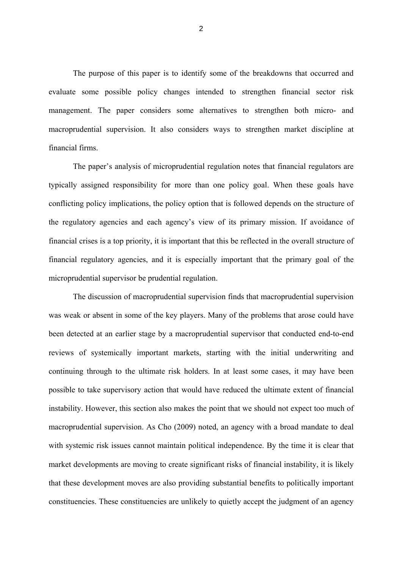The purpose of this paper is to identify some of the breakdowns that occurred and evaluate some possible policy changes intended to strengthen financial sector risk management. The paper considers some alternatives to strengthen both micro- and macroprudential supervision. It also considers ways to strengthen market discipline at financial firms.

The paper's analysis of microprudential regulation notes that financial regulators are typically assigned responsibility for more than one policy goal. When these goals have conflicting policy implications, the policy option that is followed depends on the structure of the regulatory agencies and each agency's view of its primary mission. If avoidance of financial crises is a top priority, it is important that this be reflected in the overall structure of financial regulatory agencies, and it is especially important that the primary goal of the microprudential supervisor be prudential regulation.

The discussion of macroprudential supervision finds that macroprudential supervision was weak or absent in some of the key players. Many of the problems that arose could have been detected at an earlier stage by a macroprudential supervisor that conducted end-to-end reviews of systemically important markets, starting with the initial underwriting and continuing through to the ultimate risk holders. In at least some cases, it may have been possible to take supervisory action that would have reduced the ultimate extent of financial instability. However, this section also makes the point that we should not expect too much of macroprudential supervision. As Cho (2009) noted, an agency with a broad mandate to deal with systemic risk issues cannot maintain political independence. By the time it is clear that market developments are moving to create significant risks of financial instability, it is likely that these development moves are also providing substantial benefits to politically important constituencies. These constituencies are unlikely to quietly accept the judgment of an agency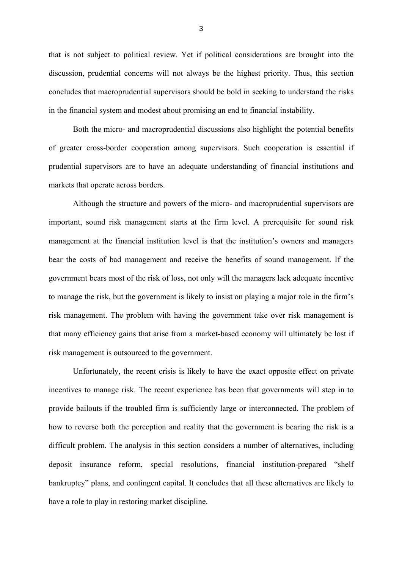that is not subject to political review. Yet if political considerations are brought into the discussion, prudential concerns will not always be the highest priority. Thus, this section concludes that macroprudential supervisors should be bold in seeking to understand the risks in the financial system and modest about promising an end to financial instability.

Both the micro- and macroprudential discussions also highlight the potential benefits of greater cross-border cooperation among supervisors. Such cooperation is essential if prudential supervisors are to have an adequate understanding of financial institutions and markets that operate across borders.

Although the structure and powers of the micro- and macroprudential supervisors are important, sound risk management starts at the firm level. A prerequisite for sound risk management at the financial institution level is that the institution's owners and managers bear the costs of bad management and receive the benefits of sound management. If the government bears most of the risk of loss, not only will the managers lack adequate incentive to manage the risk, but the government is likely to insist on playing a major role in the firm's risk management. The problem with having the government take over risk management is that many efficiency gains that arise from a market-based economy will ultimately be lost if risk management is outsourced to the government.

Unfortunately, the recent crisis is likely to have the exact opposite effect on private incentives to manage risk. The recent experience has been that governments will step in to provide bailouts if the troubled firm is sufficiently large or interconnected. The problem of how to reverse both the perception and reality that the government is bearing the risk is a difficult problem. The analysis in this section considers a number of alternatives, including deposit insurance reform, special resolutions, financial institution-prepared "shelf bankruptcy" plans, and contingent capital. It concludes that all these alternatives are likely to have a role to play in restoring market discipline.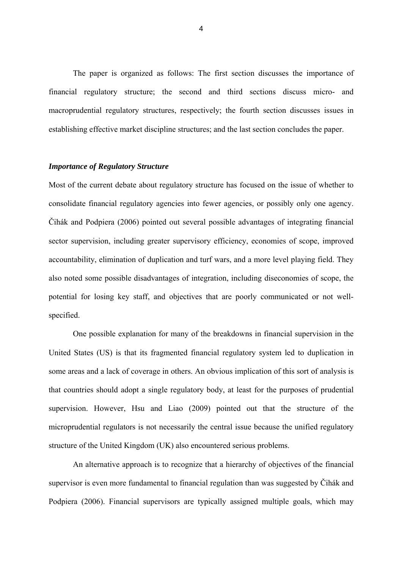The paper is organized as follows: The first section discusses the importance of financial regulatory structure; the second and third sections discuss micro- and macroprudential regulatory structures, respectively; the fourth section discusses issues in establishing effective market discipline structures; and the last section concludes the paper.

#### *Importance of Regulatory Structure*

Most of the current debate about regulatory structure has focused on the issue of whether to consolidate financial regulatory agencies into fewer agencies, or possibly only one agency. Čihák and Podpiera (2006) pointed out several possible advantages of integrating financial sector supervision, including greater supervisory efficiency, economies of scope, improved accountability, elimination of duplication and turf wars, and a more level playing field. They also noted some possible disadvantages of integration, including diseconomies of scope, the potential for losing key staff, and objectives that are poorly communicated or not wellspecified.

One possible explanation for many of the breakdowns in financial supervision in the United States (US) is that its fragmented financial regulatory system led to duplication in some areas and a lack of coverage in others. An obvious implication of this sort of analysis is that countries should adopt a single regulatory body, at least for the purposes of prudential supervision. However, Hsu and Liao (2009) pointed out that the structure of the microprudential regulators is not necessarily the central issue because the unified regulatory structure of the United Kingdom (UK) also encountered serious problems.

An alternative approach is to recognize that a hierarchy of objectives of the financial supervisor is even more fundamental to financial regulation than was suggested by Čihák and Podpiera (2006). Financial supervisors are typically assigned multiple goals, which may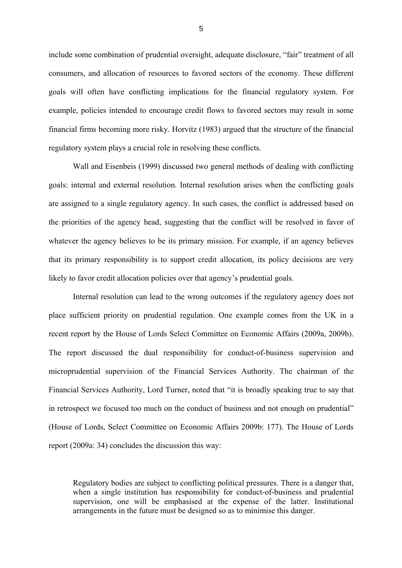include some combination of prudential oversight, adequate disclosure, "fair" treatment of all consumers, and allocation of resources to favored sectors of the economy. These different goals will often have conflicting implications for the financial regulatory system. For example, policies intended to encourage credit flows to favored sectors may result in some financial firms becoming more risky. Horvitz (1983) argued that the structure of the financial regulatory system plays a crucial role in resolving these conflicts.

Wall and Eisenbeis (1999) discussed two general methods of dealing with conflicting goals: internal and external resolution. Internal resolution arises when the conflicting goals are assigned to a single regulatory agency. In such cases, the conflict is addressed based on the priorities of the agency head, suggesting that the conflict will be resolved in favor of whatever the agency believes to be its primary mission. For example, if an agency believes that its primary responsibility is to support credit allocation, its policy decisions are very likely to favor credit allocation policies over that agency's prudential goals.

Internal resolution can lead to the wrong outcomes if the regulatory agency does not place sufficient priority on prudential regulation. One example comes from the UK in a recent report by the House of Lords Select Committee on Economic Affairs (2009a, 2009b). The report discussed the dual responsibility for conduct-of-business supervision and microprudential supervision of the Financial Services Authority. The chairman of the Financial Services Authority, Lord Turner, noted that "it is broadly speaking true to say that in retrospect we focused too much on the conduct of business and not enough on prudential" (House of Lords, Select Committee on Economic Affairs 2009b: 177). The House of Lords report (2009a: 34) concludes the discussion this way:

Regulatory bodies are subject to conflicting political pressures. There is a danger that, when a single institution has responsibility for conduct-of-business and prudential supervision, one will be emphasised at the expense of the latter. Institutional arrangements in the future must be designed so as to minimise this danger.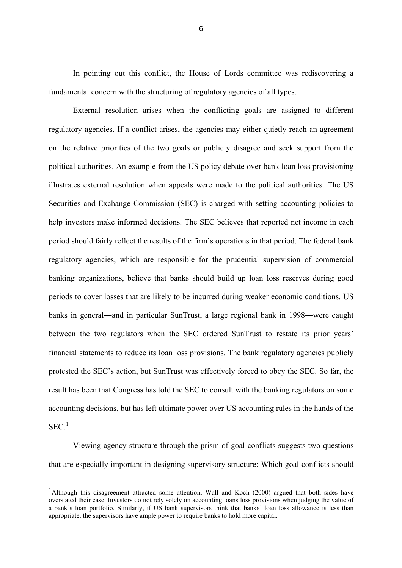In pointing out this conflict, the House of Lords committee was rediscovering a fundamental concern with the structuring of regulatory agencies of all types.

External resolution arises when the conflicting goals are assigned to different regulatory agencies. If a conflict arises, the agencies may either quietly reach an agreement on the relative priorities of the two goals or publicly disagree and seek support from the political authorities. An example from the US policy debate over bank loan loss provisioning illustrates external resolution when appeals were made to the political authorities. The US Securities and Exchange Commission (SEC) is charged with setting accounting policies to help investors make informed decisions. The SEC believes that reported net income in each period should fairly reflect the results of the firm's operations in that period. The federal bank regulatory agencies, which are responsible for the prudential supervision of commercial banking organizations, believe that banks should build up loan loss reserves during good periods to cover losses that are likely to be incurred during weaker economic conditions. US banks in general―and in particular SunTrust, a large regional bank in 1998―were caught between the two regulators when the SEC ordered SunTrust to restate its prior years' financial statements to reduce its loan loss provisions. The bank regulatory agencies publicly protested the SEC's action, but SunTrust was effectively forced to obey the SEC. So far, the result has been that Congress has told the SEC to consult with the banking regulators on some accounting decisions, but has left ultimate power over US accounting rules in the hands of the  $SEC.$ <sup>[1](#page-7-0)</sup>

Viewing agency structure through the prism of goal conflicts suggests two questions that are especially important in designing supervisory structure: Which goal conflicts should

<span id="page-7-0"></span><sup>&</sup>lt;sup>1</sup>Although this disagreement attracted some attention, Wall and Koch (2000) argued that both sides have overstated their case. Investors do not rely solely on accounting loans loss provisions when judging the value of a bank's loan portfolio. Similarly, if US bank supervisors think that banks' loan loss allowance is less than appropriate, the supervisors have ample power to require banks to hold more capital.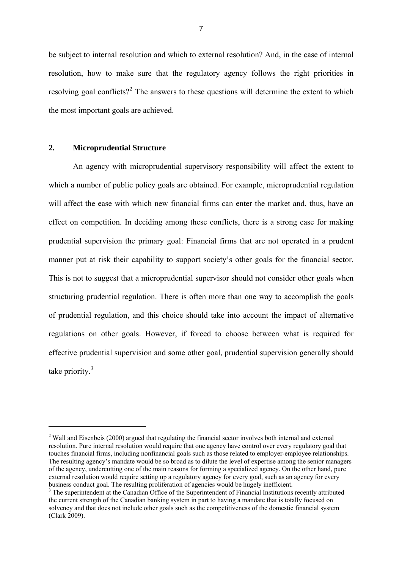be subject to internal resolution and which to external resolution? And, in the case of internal resolution, how to make sure that the regulatory agency follows the right priorities in resolving goal conflicts?<sup>[2](#page-8-0)</sup> The answers to these questions will determine the extent to which the most important goals are achieved.

#### **2. Microprudential Structure**

An agency with microprudential supervisory responsibility will affect the extent to which a number of public policy goals are obtained. For example, microprudential regulation will affect the ease with which new financial firms can enter the market and, thus, have an effect on competition. In deciding among these conflicts, there is a strong case for making prudential supervision the primary goal: Financial firms that are not operated in a prudent manner put at risk their capability to support society's other goals for the financial sector. This is not to suggest that a microprudential supervisor should not consider other goals when structuring prudential regulation. There is often more than one way to accomplish the goals of prudential regulation, and this choice should take into account the impact of alternative regulations on other goals. However, if forced to choose between what is required for effective prudential supervision and some other goal, prudential supervision generally should take priority. $3$ 

<span id="page-8-0"></span><sup>&</sup>lt;sup>2</sup> Wall and Eisenbeis (2000) argued that regulating the financial sector involves both internal and external resolution. Pure internal resolution would require that one agency have control over every regulatory goal that touches financial firms, including nonfinancial goals such as those related to employer-employee relationships. The resulting agency's mandate would be so broad as to dilute the level of expertise among the senior managers of the agency, undercutting one of the main reasons for forming a specialized agency. On the other hand, pure external resolution would require setting up a regulatory agency for every goal, such as an agency for every business conduct goal. The resulting proliferation of agencies would be hugely inefficient.

<span id="page-8-1"></span><sup>&</sup>lt;sup>3</sup> The superintendent at the Canadian Office of the Superintendent of Financial Institutions recently attributed the current strength of the Canadian banking system in part to having a mandate that is totally focused on solvency and that does not include other goals such as the competitiveness of the domestic financial system (Clark 2009).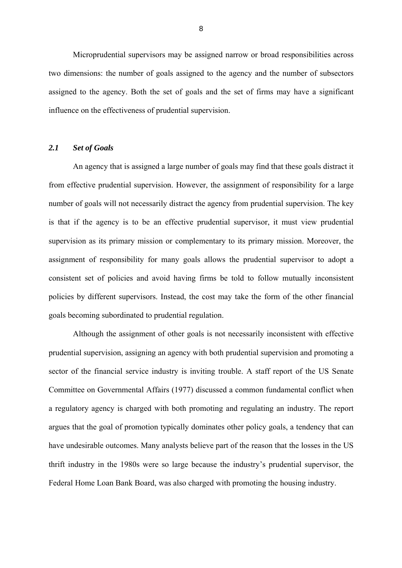Microprudential supervisors may be assigned narrow or broad responsibilities across two dimensions: the number of goals assigned to the agency and the number of subsectors assigned to the agency. Both the set of goals and the set of firms may have a significant influence on the effectiveness of prudential supervision.

#### *2.1 Set of Goals*

An agency that is assigned a large number of goals may find that these goals distract it from effective prudential supervision. However, the assignment of responsibility for a large number of goals will not necessarily distract the agency from prudential supervision. The key is that if the agency is to be an effective prudential supervisor, it must view prudential supervision as its primary mission or complementary to its primary mission. Moreover, the assignment of responsibility for many goals allows the prudential supervisor to adopt a consistent set of policies and avoid having firms be told to follow mutually inconsistent policies by different supervisors. Instead, the cost may take the form of the other financial goals becoming subordinated to prudential regulation.

Although the assignment of other goals is not necessarily inconsistent with effective prudential supervision, assigning an agency with both prudential supervision and promoting a sector of the financial service industry is inviting trouble. A staff report of the US Senate Committee on Governmental Affairs (1977) discussed a common fundamental conflict when a regulatory agency is charged with both promoting and regulating an industry. The report argues that the goal of promotion typically dominates other policy goals, a tendency that can have undesirable outcomes. Many analysts believe part of the reason that the losses in the US thrift industry in the 1980s were so large because the industry's prudential supervisor, the Federal Home Loan Bank Board, was also charged with promoting the housing industry.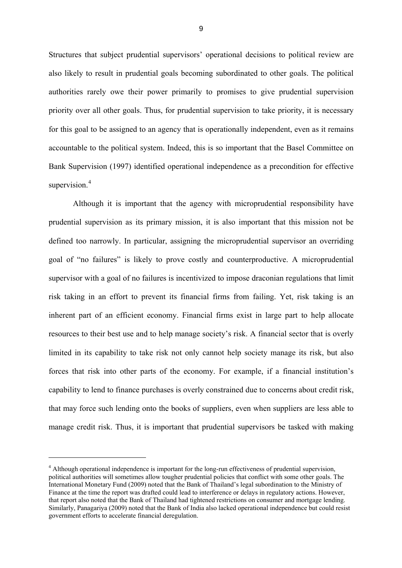Structures that subject prudential supervisors' operational decisions to political review are also likely to result in prudential goals becoming subordinated to other goals. The political authorities rarely owe their power primarily to promises to give prudential supervision priority over all other goals. Thus, for prudential supervision to take priority, it is necessary for this goal to be assigned to an agency that is operationally independent, even as it remains accountable to the political system. Indeed, this is so important that the Basel Committee on Bank Supervision (1997) identified operational independence as a precondition for effective supervision.<sup>[4](#page-10-0)</sup>

Although it is important that the agency with microprudential responsibility have prudential supervision as its primary mission, it is also important that this mission not be defined too narrowly. In particular, assigning the microprudential supervisor an overriding goal of "no failures" is likely to prove costly and counterproductive. A microprudential supervisor with a goal of no failures is incentivized to impose draconian regulations that limit risk taking in an effort to prevent its financial firms from failing. Yet, risk taking is an inherent part of an efficient economy. Financial firms exist in large part to help allocate resources to their best use and to help manage society's risk. A financial sector that is overly limited in its capability to take risk not only cannot help society manage its risk, but also forces that risk into other parts of the economy. For example, if a financial institution's capability to lend to finance purchases is overly constrained due to concerns about credit risk, that may force such lending onto the books of suppliers, even when suppliers are less able to manage credit risk. Thus, it is important that prudential supervisors be tasked with making

<span id="page-10-0"></span><sup>&</sup>lt;sup>4</sup> Although operational independence is important for the long-run effectiveness of prudential supervision, political authorities will sometimes allow tougher prudential policies that conflict with some other goals. The International Monetary Fund (2009) noted that the Bank of Thailand's legal subordination to the Ministry of Finance at the time the report was drafted could lead to interference or delays in regulatory actions. However, that report also noted that the Bank of Thailand had tightened restrictions on consumer and mortgage lending. Similarly, Panagariya (2009) noted that the Bank of India also lacked operational independence but could resist government efforts to accelerate financial deregulation.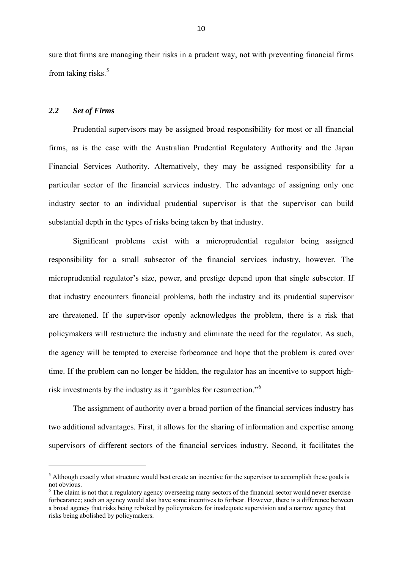sure that firms are managing their risks in a prudent way, not with preventing financial firms from taking risks. $5$ 

#### *2.2 Set of Firms*

 $\overline{a}$ 

Prudential supervisors may be assigned broad responsibility for most or all financial firms, as is the case with the Australian Prudential Regulatory Authority and the Japan Financial Services Authority. Alternatively, they may be assigned responsibility for a particular sector of the financial services industry. The advantage of assigning only one industry sector to an individual prudential supervisor is that the supervisor can build substantial depth in the types of risks being taken by that industry.

Significant problems exist with a microprudential regulator being assigned responsibility for a small subsector of the financial services industry, however. The microprudential regulator's size, power, and prestige depend upon that single subsector. If that industry encounters financial problems, both the industry and its prudential supervisor are threatened. If the supervisor openly acknowledges the problem, there is a risk that policymakers will restructure the industry and eliminate the need for the regulator. As such, the agency will be tempted to exercise forbearance and hope that the problem is cured over time. If the problem can no longer be hidden, the regulator has an incentive to support high-risk investments by the industry as it "gambles for resurrection."<sup>[6](#page-11-1)</sup>

The assignment of authority over a broad portion of the financial services industry has two additional advantages. First, it allows for the sharing of information and expertise among supervisors of different sectors of the financial services industry. Second, it facilitates the

<span id="page-11-0"></span><sup>&</sup>lt;sup>5</sup> Although exactly what structure would best create an incentive for the supervisor to accomplish these goals is not obvious.

<span id="page-11-1"></span><sup>&</sup>lt;sup>6</sup> The claim is not that a regulatory agency overseeing many sectors of the financial sector would never exercise forbearance; such an agency would also have some incentives to forbear. However, there is a difference between a broad agency that risks being rebuked by policymakers for inadequate supervision and a narrow agency that risks being abolished by policymakers.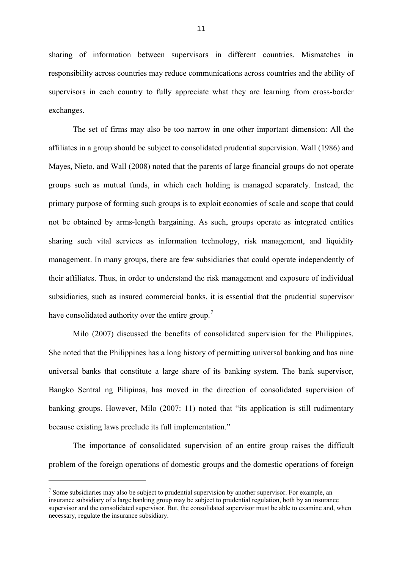sharing of information between supervisors in different countries. Mismatches in responsibility across countries may reduce communications across countries and the ability of supervisors in each country to fully appreciate what they are learning from cross-border exchanges.

The set of firms may also be too narrow in one other important dimension: All the affiliates in a group should be subject to consolidated prudential supervision. Wall (1986) and Mayes, Nieto, and Wall (2008) noted that the parents of large financial groups do not operate groups such as mutual funds, in which each holding is managed separately. Instead, the primary purpose of forming such groups is to exploit economies of scale and scope that could not be obtained by arms-length bargaining. As such, groups operate as integrated entities sharing such vital services as information technology, risk management, and liquidity management. In many groups, there are few subsidiaries that could operate independently of their affiliates. Thus, in order to understand the risk management and exposure of individual subsidiaries, such as insured commercial banks, it is essential that the prudential supervisor have consolidated authority over the entire group.<sup>[7](#page-12-0)</sup>

Milo (2007) discussed the benefits of consolidated supervision for the Philippines. She noted that the Philippines has a long history of permitting universal banking and has nine universal banks that constitute a large share of its banking system. The bank supervisor, Bangko Sentral ng Pilipinas, has moved in the direction of consolidated supervision of banking groups. However, Milo (2007: 11) noted that "its application is still rudimentary because existing laws preclude its full implementation."

The importance of consolidated supervision of an entire group raises the difficult problem of the foreign operations of domestic groups and the domestic operations of foreign

<span id="page-12-0"></span> $<sup>7</sup>$  Some subsidiaries may also be subject to prudential supervision by another supervisor. For example, an</sup> insurance subsidiary of a large banking group may be subject to prudential regulation, both by an insurance supervisor and the consolidated supervisor. But, the consolidated supervisor must be able to examine and, when necessary, regulate the insurance subsidiary.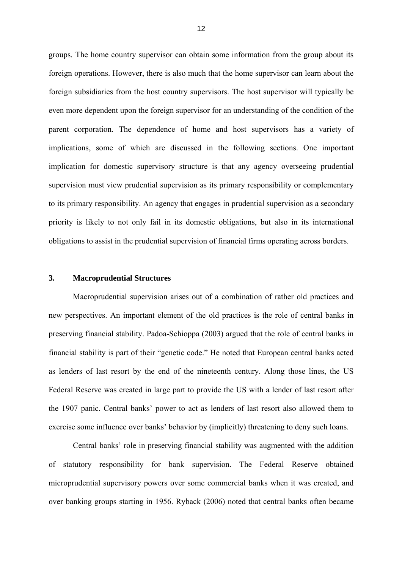groups. The home country supervisor can obtain some information from the group about its foreign operations. However, there is also much that the home supervisor can learn about the foreign subsidiaries from the host country supervisors. The host supervisor will typically be even more dependent upon the foreign supervisor for an understanding of the condition of the parent corporation. The dependence of home and host supervisors has a variety of implications, some of which are discussed in the following sections. One important implication for domestic supervisory structure is that any agency overseeing prudential supervision must view prudential supervision as its primary responsibility or complementary to its primary responsibility. An agency that engages in prudential supervision as a secondary priority is likely to not only fail in its domestic obligations, but also in its international obligations to assist in the prudential supervision of financial firms operating across borders.

#### **3. Macroprudential Structures**

Macroprudential supervision arises out of a combination of rather old practices and new perspectives. An important element of the old practices is the role of central banks in preserving financial stability. Padoa-Schioppa (2003) argued that the role of central banks in financial stability is part of their "genetic code." He noted that European central banks acted as lenders of last resort by the end of the nineteenth century. Along those lines, the US Federal Reserve was created in large part to provide the US with a lender of last resort after the 1907 panic. Central banks' power to act as lenders of last resort also allowed them to exercise some influence over banks' behavior by (implicitly) threatening to deny such loans.

Central banks' role in preserving financial stability was augmented with the addition of statutory responsibility for bank supervision. The Federal Reserve obtained microprudential supervisory powers over some commercial banks when it was created, and over banking groups starting in 1956. Ryback (2006) noted that central banks often became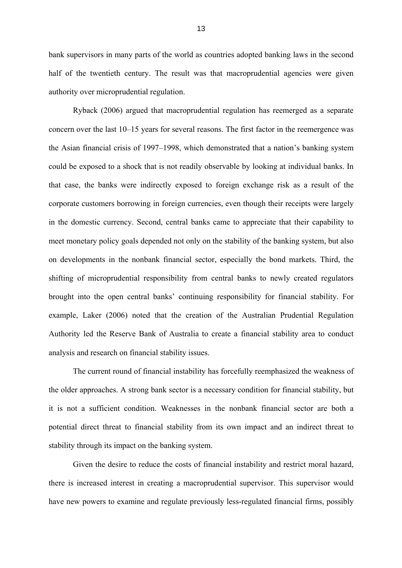bank supervisors in many parts of the world as countries adopted banking laws in the second half of the twentieth century. The result was that macroprudential agencies were given authority over microprudential regulation.

Ryback (2006) argued that macroprudential regulation has reemerged as a separate concern over the last 10–15 years for several reasons. The first factor in the reemergence was the Asian financial crisis of 1997–1998, which demonstrated that a nation's banking system could be exposed to a shock that is not readily observable by looking at individual banks. In that case, the banks were indirectly exposed to foreign exchange risk as a result of the corporate customers borrowing in foreign currencies, even though their receipts were largely in the domestic currency. Second, central banks came to appreciate that their capability to meet monetary policy goals depended not only on the stability of the banking system, but also on developments in the nonbank financial sector, especially the bond markets. Third, the shifting of microprudential responsibility from central banks to newly created regulators brought into the open central banks' continuing responsibility for financial stability. For example, Laker (2006) noted that the creation of the Australian Prudential Regulation Authority led the Reserve Bank of Australia to create a financial stability area to conduct analysis and research on financial stability issues.

The current round of financial instability has forcefully reemphasized the weakness of the older approaches. A strong bank sector is a necessary condition for financial stability, but it is not a sufficient condition. Weaknesses in the nonbank financial sector are both a potential direct threat to financial stability from its own impact and an indirect threat to stability through its impact on the banking system.

Given the desire to reduce the costs of financial instability and restrict moral hazard, there is increased interest in creating a macroprudential supervisor. This supervisor would have new powers to examine and regulate previously less-regulated financial firms, possibly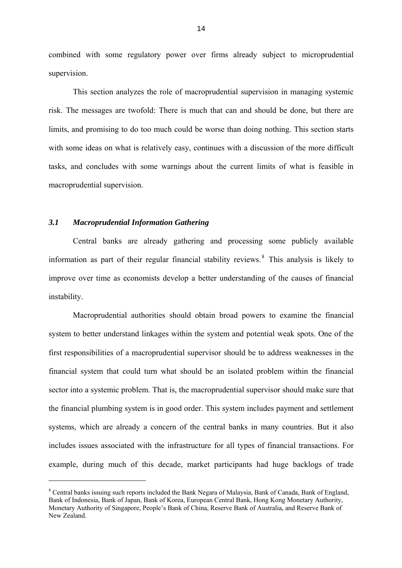combined with some regulatory power over firms already subject to microprudential supervision.

This section analyzes the role of macroprudential supervision in managing systemic risk. The messages are twofold: There is much that can and should be done, but there are limits, and promising to do too much could be worse than doing nothing. This section starts with some ideas on what is relatively easy, continues with a discussion of the more difficult tasks, and concludes with some warnings about the current limits of what is feasible in macroprudential supervision.

#### *3.1 Macroprudential Information Gathering*

Central banks are already gathering and processing some publicly available information as part of their regular financial stability reviews. $8$  This analysis is likely to improve over time as economists develop a better understanding of the causes of financial instability.

 Macroprudential authorities should obtain broad powers to examine the financial system to better understand linkages within the system and potential weak spots. One of the first responsibilities of a macroprudential supervisor should be to address weaknesses in the financial system that could turn what should be an isolated problem within the financial sector into a systemic problem. That is, the macroprudential supervisor should make sure that the financial plumbing system is in good order. This system includes payment and settlement systems, which are already a concern of the central banks in many countries. But it also includes issues associated with the infrastructure for all types of financial transactions. For example, during much of this decade, market participants had huge backlogs of trade

<span id="page-15-0"></span><sup>&</sup>lt;sup>8</sup> Central banks issuing such reports included the Bank Negara of Malaysia, Bank of Canada, Bank of England, Bank of Indonesia, Bank of Japan, Bank of Korea, European Central Bank, Hong Kong Monetary Authority, Monetary Authority of Singapore, People's Bank of China, Reserve Bank of Australia, and Reserve Bank of New Zealand.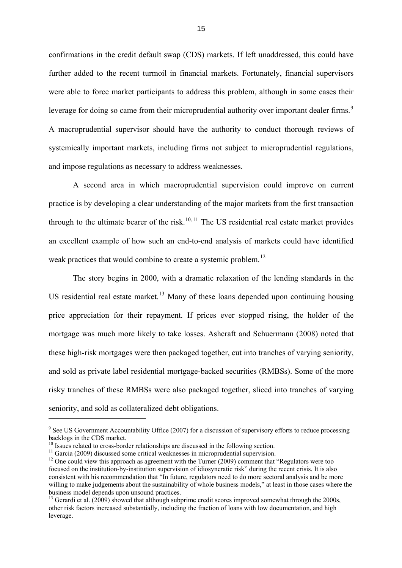confirmations in the credit default swap (CDS) markets. If left unaddressed, this could have further added to the recent turmoil in financial markets. Fortunately, financial supervisors were able to force market participants to address this problem, although in some cases their leverage for doing so came from their microprudential authority over important dealer firms.<sup>[9](#page-16-0)</sup> A macroprudential supervisor should have the authority to conduct thorough reviews of systemically important markets, including firms not subject to microprudential regulations, and impose regulations as necessary to address weaknesses.

A second area in which macroprudential supervision could improve on current practice is by developing a clear understanding of the major markets from the first transaction through to the ultimate bearer of the risk.<sup>[10](#page-16-1),[11](#page-16-2)</sup> The US residential real estate market provides an excellent example of how such an end-to-end analysis of markets could have identified weak practices that would combine to create a systemic problem.<sup>[12](#page-16-3)</sup>

The story begins in 2000, with a dramatic relaxation of the lending standards in the US residential real estate market.<sup>[13](#page-16-4)</sup> Many of these loans depended upon continuing housing price appreciation for their repayment. If prices ever stopped rising, the holder of the mortgage was much more likely to take losses. Ashcraft and Schuermann (2008) noted that these high-risk mortgages were then packaged together, cut into tranches of varying seniority, and sold as private label residential mortgage-backed securities (RMBSs). Some of the more risky tranches of these RMBSs were also packaged together, sliced into tranches of varying seniority, and sold as collateralized debt obligations.

<span id="page-16-0"></span><sup>&</sup>lt;sup>9</sup> See US Government Accountability Office (2007) for a discussion of supervisory efforts to reduce processing backlogs in the CDS market.

 $10$  Issues related to cross-border relationships are discussed in the following section.

<span id="page-16-2"></span><span id="page-16-1"></span> $11$  Garcia (2009) discussed some critical weaknesses in microprudential supervision.

<span id="page-16-3"></span><sup>&</sup>lt;sup>12</sup> One could view this approach as agreement with the Turner (2009) comment that "Regulators were too focused on the institution-by-institution supervision of idiosyncratic risk" during the recent crisis. It is also consistent with his recommendation that "In future, regulators need to do more sectoral analysis and be more willing to make judgements about the sustainability of whole business models," at least in those cases where the business model depends upon unsound practices.

<span id="page-16-4"></span> $^{13}$  Gerardi et al. (2009) showed that although subprime credit scores improved somewhat through the 2000s. other risk factors increased substantially, including the fraction of loans with low documentation, and high leverage.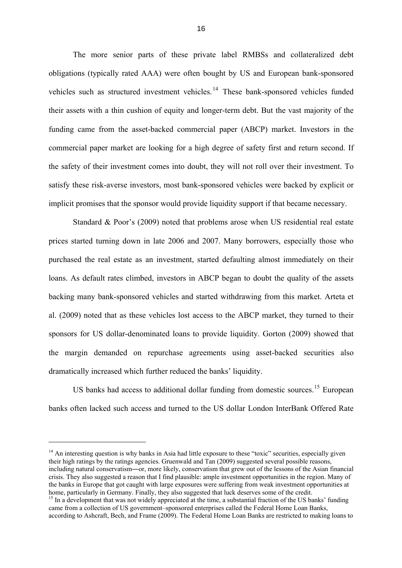The more senior parts of these private label RMBSs and collateralized debt obligations (typically rated AAA) were often bought by US and European bank-sponsored vehicles such as structured investment vehicles.<sup>[14](#page-17-0)</sup> These bank-sponsored vehicles funded their assets with a thin cushion of equity and longer-term debt. But the vast majority of the funding came from the asset-backed commercial paper (ABCP) market. Investors in the commercial paper market are looking for a high degree of safety first and return second. If the safety of their investment comes into doubt, they will not roll over their investment. To satisfy these risk-averse investors, most bank-sponsored vehicles were backed by explicit or implicit promises that the sponsor would provide liquidity support if that became necessary.

Standard & Poor's (2009) noted that problems arose when US residential real estate prices started turning down in late 2006 and 2007. Many borrowers, especially those who purchased the real estate as an investment, started defaulting almost immediately on their loans. As default rates climbed, investors in ABCP began to doubt the quality of the assets backing many bank-sponsored vehicles and started withdrawing from this market. Arteta et al. (2009) noted that as these vehicles lost access to the ABCP market, they turned to their sponsors for US dollar-denominated loans to provide liquidity. Gorton (2009) showed that the margin demanded on repurchase agreements using asset-backed securities also dramatically increased which further reduced the banks' liquidity.

US banks had access to additional dollar funding from domestic sources.<sup>[15](#page-17-1)</sup> European banks often lacked such access and turned to the US dollar London InterBank Offered Rate

<span id="page-17-0"></span> $14$  An interesting question is why banks in Asia had little exposure to these "toxic" securities, especially given their high ratings by the ratings agencies. Gruenwald and Tan (2009) suggested several possible reasons, including natural conservatism―or, more likely, conservatism that grew out of the lessons of the Asian financial crisis. They also suggested a reason that I find plausible: ample investment opportunities in the region. Many of the banks in Europe that got caught with large exposures were suffering from weak investment opportunities at home, particularly in Germany. Finally, they also suggested that luck deserves some of the credit.

<span id="page-17-1"></span> $h<sup>15</sup>$  In a development that was not widely appreciated at the time, a substantial fraction of the US banks' funding came from a collection of US government–sponsored enterprises called the Federal Home Loan Banks, according to Ashcraft, Bech, and Frame (2009). The Federal Home Loan Banks are restricted to making loans to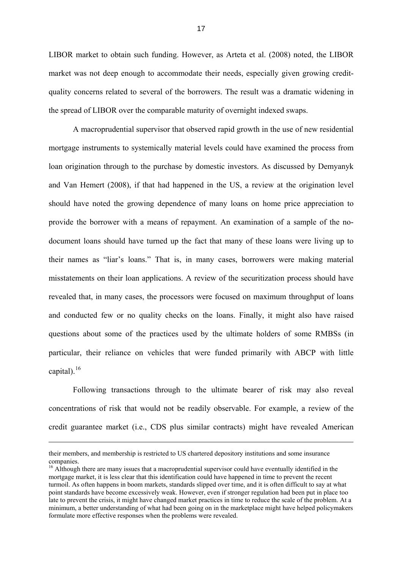LIBOR market to obtain such funding. However, as Arteta et al. (2008) noted, the LIBOR market was not deep enough to accommodate their needs, especially given growing creditquality concerns related to several of the borrowers. The result was a dramatic widening in the spread of LIBOR over the comparable maturity of overnight indexed swaps.

A macroprudential supervisor that observed rapid growth in the use of new residential mortgage instruments to systemically material levels could have examined the process from loan origination through to the purchase by domestic investors. As discussed by Demyanyk and Van Hemert (2008), if that had happened in the US, a review at the origination level should have noted the growing dependence of many loans on home price appreciation to provide the borrower with a means of repayment. An examination of a sample of the nodocument loans should have turned up the fact that many of these loans were living up to their names as "liar's loans." That is, in many cases, borrowers were making material misstatements on their loan applications. A review of the securitization process should have revealed that, in many cases, the processors were focused on maximum throughput of loans and conducted few or no quality checks on the loans. Finally, it might also have raised questions about some of the practices used by the ultimate holders of some RMBSs (in particular, their reliance on vehicles that were funded primarily with ABCP with little capital).<sup>[16](#page-18-0)</sup>

Following transactions through to the ultimate bearer of risk may also reveal concentrations of risk that would not be readily observable. For example, a review of the credit guarantee market (i.e., CDS plus similar contracts) might have revealed American

their members, and membership is restricted to US chartered depository institutions and some insurance companies.

<span id="page-18-0"></span><sup>&</sup>lt;sup>16</sup> Although there are many issues that a macroprudential supervisor could have eventually identified in the mortgage market, it is less clear that this identification could have happened in time to prevent the recent turmoil. As often happens in boom markets, standards slipped over time, and it is often difficult to say at what point standards have become excessively weak. However, even if stronger regulation had been put in place too late to prevent the crisis, it might have changed market practices in time to reduce the scale of the problem. At a minimum, a better understanding of what had been going on in the marketplace might have helped policymakers formulate more effective responses when the problems were revealed.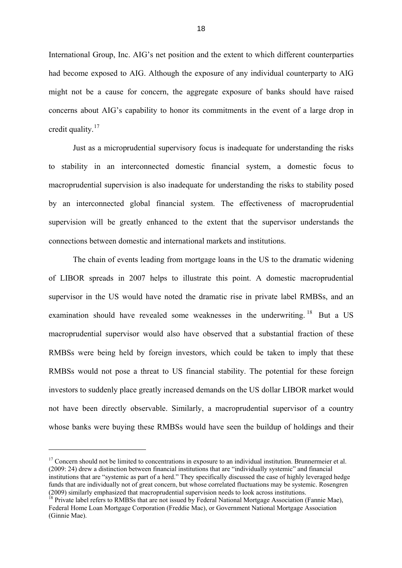International Group, Inc. AIG's net position and the extent to which different counterparties had become exposed to AIG. Although the exposure of any individual counterparty to AIG might not be a cause for concern, the aggregate exposure of banks should have raised concerns about AIG's capability to honor its commitments in the event of a large drop in credit quality.<sup>[17](#page-19-0)</sup>

Just as a microprudential supervisory focus is inadequate for understanding the risks to stability in an interconnected domestic financial system, a domestic focus to macroprudential supervision is also inadequate for understanding the risks to stability posed by an interconnected global financial system. The effectiveness of macroprudential supervision will be greatly enhanced to the extent that the supervisor understands the connections between domestic and international markets and institutions.

The chain of events leading from mortgage loans in the US to the dramatic widening of LIBOR spreads in 2007 helps to illustrate this point. A domestic macroprudential supervisor in the US would have noted the dramatic rise in private label RMBSs, and an examination should have revealed some weaknesses in the underwriting. <sup>[18](#page-19-1)</sup> But a US macroprudential supervisor would also have observed that a substantial fraction of these RMBSs were being held by foreign investors, which could be taken to imply that these RMBSs would not pose a threat to US financial stability. The potential for these foreign investors to suddenly place greatly increased demands on the US dollar LIBOR market would not have been directly observable. Similarly, a macroprudential supervisor of a country whose banks were buying these RMBSs would have seen the buildup of holdings and their

<span id="page-19-0"></span><sup>&</sup>lt;sup>17</sup> Concern should not be limited to concentrations in exposure to an individual institution. Brunnermeier et al. (2009: 24) drew a distinction between financial institutions that are "individually systemic" and financial institutions that are "systemic as part of a herd." They specifically discussed the case of highly leveraged hedge funds that are individually not of great concern, but whose correlated fluctuations may be systemic. Rosengren (2009) similarly emphasized that macroprudential supervision needs to look across institutions. 18 Private label refers to RMBSs that are not issued by Federal National Mortgage Association (Fannie Mae),

<span id="page-19-1"></span>Federal Home Loan Mortgage Corporation (Freddie Mac), or Government National Mortgage Association (Ginnie Mae).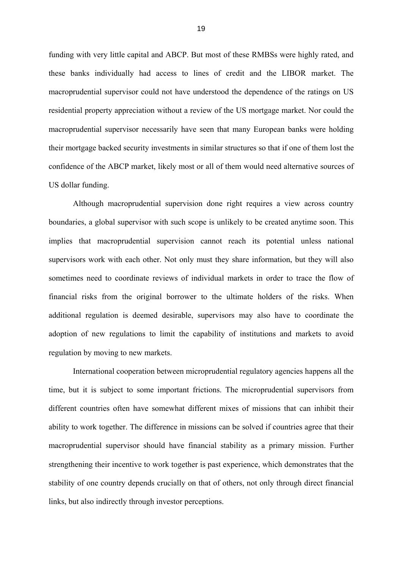funding with very little capital and ABCP. But most of these RMBSs were highly rated, and these banks individually had access to lines of credit and the LIBOR market. The macroprudential supervisor could not have understood the dependence of the ratings on US residential property appreciation without a review of the US mortgage market. Nor could the macroprudential supervisor necessarily have seen that many European banks were holding their mortgage backed security investments in similar structures so that if one of them lost the confidence of the ABCP market, likely most or all of them would need alternative sources of US dollar funding.

Although macroprudential supervision done right requires a view across country boundaries, a global supervisor with such scope is unlikely to be created anytime soon. This implies that macroprudential supervision cannot reach its potential unless national supervisors work with each other. Not only must they share information, but they will also sometimes need to coordinate reviews of individual markets in order to trace the flow of financial risks from the original borrower to the ultimate holders of the risks. When additional regulation is deemed desirable, supervisors may also have to coordinate the adoption of new regulations to limit the capability of institutions and markets to avoid regulation by moving to new markets.

International cooperation between microprudential regulatory agencies happens all the time, but it is subject to some important frictions. The microprudential supervisors from different countries often have somewhat different mixes of missions that can inhibit their ability to work together. The difference in missions can be solved if countries agree that their macroprudential supervisor should have financial stability as a primary mission. Further strengthening their incentive to work together is past experience, which demonstrates that the stability of one country depends crucially on that of others, not only through direct financial links, but also indirectly through investor perceptions.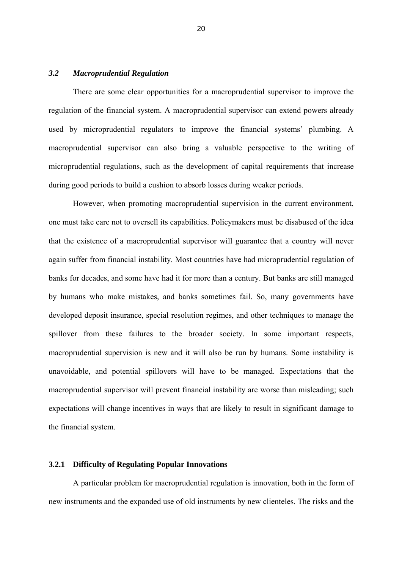#### *3.2 Macroprudential Regulation*

There are some clear opportunities for a macroprudential supervisor to improve the regulation of the financial system. A macroprudential supervisor can extend powers already used by microprudential regulators to improve the financial systems' plumbing. A macroprudential supervisor can also bring a valuable perspective to the writing of microprudential regulations, such as the development of capital requirements that increase during good periods to build a cushion to absorb losses during weaker periods.

However, when promoting macroprudential supervision in the current environment, one must take care not to oversell its capabilities. Policymakers must be disabused of the idea that the existence of a macroprudential supervisor will guarantee that a country will never again suffer from financial instability. Most countries have had microprudential regulation of banks for decades, and some have had it for more than a century. But banks are still managed by humans who make mistakes, and banks sometimes fail. So, many governments have developed deposit insurance, special resolution regimes, and other techniques to manage the spillover from these failures to the broader society. In some important respects, macroprudential supervision is new and it will also be run by humans. Some instability is unavoidable, and potential spillovers will have to be managed. Expectations that the macroprudential supervisor will prevent financial instability are worse than misleading; such expectations will change incentives in ways that are likely to result in significant damage to the financial system.

#### **3.2.1 Difficulty of Regulating Popular Innovations**

A particular problem for macroprudential regulation is innovation, both in the form of new instruments and the expanded use of old instruments by new clienteles. The risks and the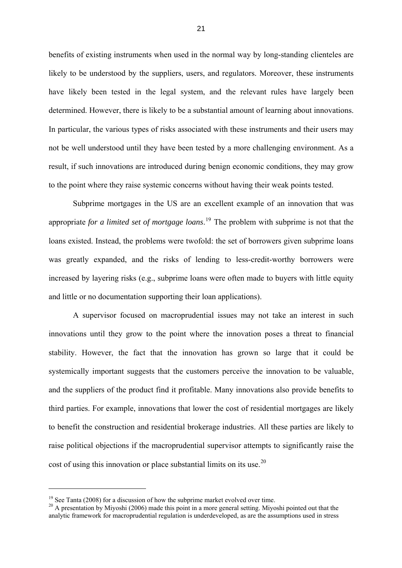benefits of existing instruments when used in the normal way by long-standing clienteles are likely to be understood by the suppliers, users, and regulators. Moreover, these instruments have likely been tested in the legal system, and the relevant rules have largely been determined. However, there is likely to be a substantial amount of learning about innovations. In particular, the various types of risks associated with these instruments and their users may not be well understood until they have been tested by a more challenging environment. As a result, if such innovations are introduced during benign economic conditions, they may grow to the point where they raise systemic concerns without having their weak points tested.

Subprime mortgages in the US are an excellent example of an innovation that was appropriate *for a limited set of mortgage loans*. [19](#page-22-0) The problem with subprime is not that the loans existed. Instead, the problems were twofold: the set of borrowers given subprime loans was greatly expanded, and the risks of lending to less-credit-worthy borrowers were increased by layering risks (e.g., subprime loans were often made to buyers with little equity and little or no documentation supporting their loan applications).

A supervisor focused on macroprudential issues may not take an interest in such innovations until they grow to the point where the innovation poses a threat to financial stability. However, the fact that the innovation has grown so large that it could be systemically important suggests that the customers perceive the innovation to be valuable, and the suppliers of the product find it profitable. Many innovations also provide benefits to third parties. For example, innovations that lower the cost of residential mortgages are likely to benefit the construction and residential brokerage industries. All these parties are likely to raise political objections if the macroprudential supervisor attempts to significantly raise the cost of using this innovation or place substantial limits on its use.<sup>[20](#page-22-1)</sup>

 $\overline{a}$ 

 $19$  See Tanta (2008) for a discussion of how the subprime market evolved over time.

<span id="page-22-1"></span><span id="page-22-0"></span><sup>&</sup>lt;sup>20</sup> A presentation by Miyoshi (2006) made this point in a more general setting. Miyoshi pointed out that the analytic framework for macroprudential regulation is underdeveloped, as are the assumptions used in stress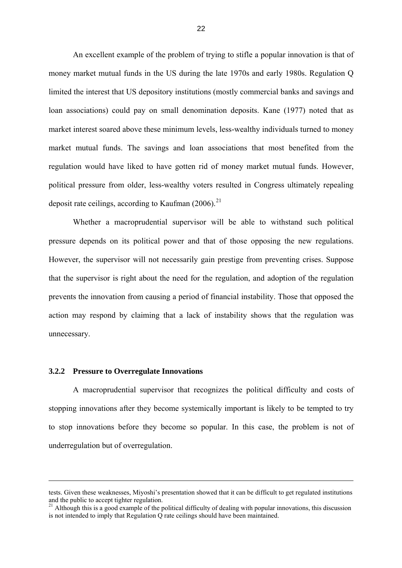An excellent example of the problem of trying to stifle a popular innovation is that of money market mutual funds in the US during the late 1970s and early 1980s. Regulation Q limited the interest that US depository institutions (mostly commercial banks and savings and loan associations) could pay on small denomination deposits. Kane (1977) noted that as market interest soared above these minimum levels, less-wealthy individuals turned to money market mutual funds. The savings and loan associations that most benefited from the regulation would have liked to have gotten rid of money market mutual funds. However, political pressure from older, less-wealthy voters resulted in Congress ultimately repealing deposit rate ceilings, according to Kaufman  $(2006)$ <sup>[21](#page-23-0)</sup>

Whether a macroprudential supervisor will be able to withstand such political pressure depends on its political power and that of those opposing the new regulations. However, the supervisor will not necessarily gain prestige from preventing crises. Suppose that the supervisor is right about the need for the regulation, and adoption of the regulation prevents the innovation from causing a period of financial instability. Those that opposed the action may respond by claiming that a lack of instability shows that the regulation was unnecessary.

#### **3.2.2 Pressure to Overregulate Innovations**

A macroprudential supervisor that recognizes the political difficulty and costs of stopping innovations after they become systemically important is likely to be tempted to try to stop innovations before they become so popular. In this case, the problem is not of underregulation but of overregulation.

tests. Given these weaknesses, Miyoshi's presentation showed that it can be difficult to get regulated institutions and the public to accept tighter regulation.

<span id="page-23-0"></span><sup>&</sup>lt;sup>21</sup> Although this is a good example of the political difficulty of dealing with popular innovations, this discussion is not intended to imply that Regulation Q rate ceilings should have been maintained.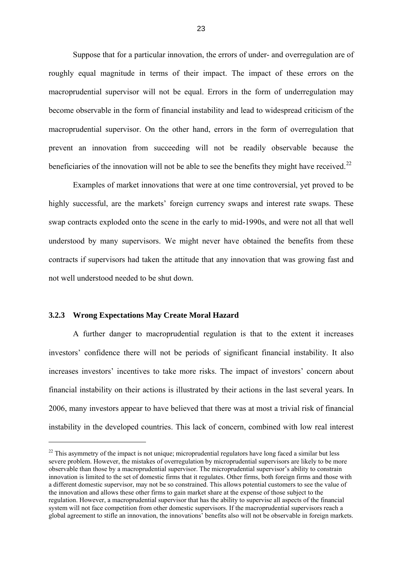Suppose that for a particular innovation, the errors of under- and overregulation are of roughly equal magnitude in terms of their impact. The impact of these errors on the macroprudential supervisor will not be equal. Errors in the form of underregulation may become observable in the form of financial instability and lead to widespread criticism of the macroprudential supervisor. On the other hand, errors in the form of overregulation that prevent an innovation from succeeding will not be readily observable because the beneficiaries of the innovation will not be able to see the benefits they might have received.<sup>[22](#page-24-0)</sup>

Examples of market innovations that were at one time controversial, yet proved to be highly successful, are the markets' foreign currency swaps and interest rate swaps. These swap contracts exploded onto the scene in the early to mid-1990s, and were not all that well understood by many supervisors. We might never have obtained the benefits from these contracts if supervisors had taken the attitude that any innovation that was growing fast and not well understood needed to be shut down.

#### **3.2.3 Wrong Expectations May Create Moral Hazard**

A further danger to macroprudential regulation is that to the extent it increases investors' confidence there will not be periods of significant financial instability. It also increases investors' incentives to take more risks. The impact of investors' concern about financial instability on their actions is illustrated by their actions in the last several years*.* In 2006, many investors appear to have believed that there was at most a trivial risk of financial instability in the developed countries. This lack of concern, combined with low real interest

<span id="page-24-0"></span> $22$  This asymmetry of the impact is not unique; microprudential regulators have long faced a similar but less severe problem. However, the mistakes of overregulation by microprudential supervisors are likely to be more observable than those by a macroprudential supervisor. The microprudential supervisor's ability to constrain innovation is limited to the set of domestic firms that it regulates. Other firms, both foreign firms and those with a different domestic supervisor, may not be so constrained. This allows potential customers to see the value of the innovation and allows these other firms to gain market share at the expense of those subject to the regulation. However, a macroprudential supervisor that has the ability to supervise all aspects of the financial system will not face competition from other domestic supervisors. If the macroprudential supervisors reach a global agreement to stifle an innovation, the innovations' benefits also will not be observable in foreign markets.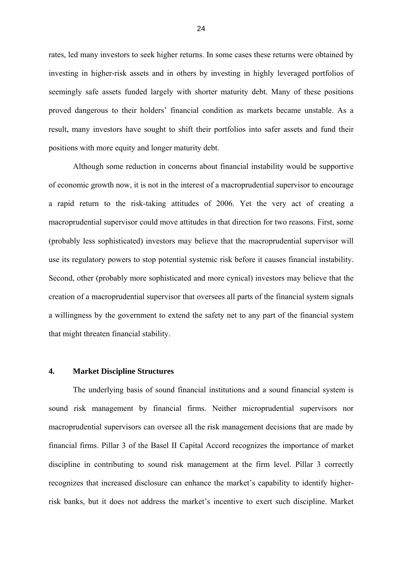rates, led many investors to seek higher returns. In some cases these returns were obtained by investing in higher-risk assets and in others by investing in highly leveraged portfolios of seemingly safe assets funded largely with shorter maturity debt. Many of these positions proved dangerous to their holders' financial condition as markets became unstable. As a result, many investors have sought to shift their portfolios into safer assets and fund their positions with more equity and longer maturity debt.

Although some reduction in concerns about financial instability would be supportive of economic growth now, it is not in the interest of a macroprudential supervisor to encourage a rapid return to the risk-taking attitudes of 2006. Yet the very act of creating a macroprudential supervisor could move attitudes in that direction for two reasons. First, some (probably less sophisticated) investors may believe that the macroprudential supervisor will use its regulatory powers to stop potential systemic risk before it causes financial instability. Second, other (probably more sophisticated and more cynical) investors may believe that the creation of a macroprudential supervisor that oversees all parts of the financial system signals a willingness by the government to extend the safety net to any part of the financial system that might threaten financial stability.

#### **4. Market Discipline Structures**

The underlying basis of sound financial institutions and a sound financial system is sound risk management by financial firms. Neither microprudential supervisors nor macroprudential supervisors can oversee all the risk management decisions that are made by financial firms. Pillar 3 of the Basel II Capital Accord recognizes the importance of market discipline in contributing to sound risk management at the firm level. Pillar 3 correctly recognizes that increased disclosure can enhance the market's capability to identify higherrisk banks, but it does not address the market's incentive to exert such discipline. Market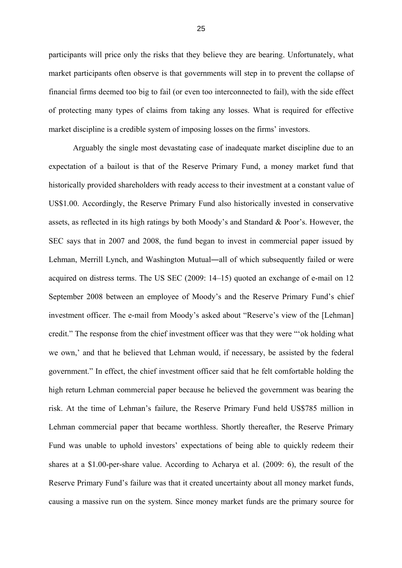participants will price only the risks that they believe they are bearing. Unfortunately, what market participants often observe is that governments will step in to prevent the collapse of financial firms deemed too big to fail (or even too interconnected to fail), with the side effect of protecting many types of claims from taking any losses. What is required for effective market discipline is a credible system of imposing losses on the firms' investors.

Arguably the single most devastating case of inadequate market discipline due to an expectation of a bailout is that of the Reserve Primary Fund, a money market fund that historically provided shareholders with ready access to their investment at a constant value of US\$1.00. Accordingly, the Reserve Primary Fund also historically invested in conservative assets, as reflected in its high ratings by both Moody's and Standard & Poor's. However, the SEC says that in 2007 and 2008, the fund began to invest in commercial paper issued by Lehman, Merrill Lynch, and Washington Mutual―all of which subsequently failed or were acquired on distress terms. The US SEC (2009: 14–15) quoted an exchange of e-mail on 12 September 2008 between an employee of Moody's and the Reserve Primary Fund's chief investment officer. The e-mail from Moody's asked about "Reserve's view of the [Lehman] credit." The response from the chief investment officer was that they were "'ok holding what we own,' and that he believed that Lehman would, if necessary, be assisted by the federal government." In effect, the chief investment officer said that he felt comfortable holding the high return Lehman commercial paper because he believed the government was bearing the risk. At the time of Lehman's failure, the Reserve Primary Fund held US\$785 million in Lehman commercial paper that became worthless. Shortly thereafter, the Reserve Primary Fund was unable to uphold investors' expectations of being able to quickly redeem their shares at a \$1.00-per-share value. According to Acharya et al. (2009: 6), the result of the Reserve Primary Fund's failure was that it created uncertainty about all money market funds, causing a massive run on the system. Since money market funds are the primary source for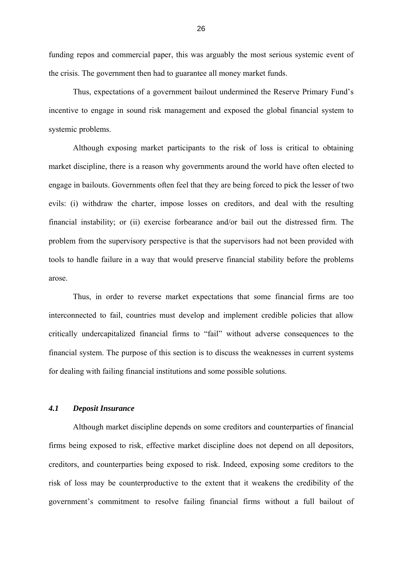funding repos and commercial paper, this was arguably the most serious systemic event of the crisis. The government then had to guarantee all money market funds.

Thus, expectations of a government bailout undermined the Reserve Primary Fund's incentive to engage in sound risk management and exposed the global financial system to systemic problems.

Although exposing market participants to the risk of loss is critical to obtaining market discipline, there is a reason why governments around the world have often elected to engage in bailouts. Governments often feel that they are being forced to pick the lesser of two evils: (i) withdraw the charter, impose losses on creditors, and deal with the resulting financial instability; or (ii) exercise forbearance and/or bail out the distressed firm. The problem from the supervisory perspective is that the supervisors had not been provided with tools to handle failure in a way that would preserve financial stability before the problems arose.

 Thus, in order to reverse market expectations that some financial firms are too interconnected to fail, countries must develop and implement credible policies that allow critically undercapitalized financial firms to "fail" without adverse consequences to the financial system. The purpose of this section is to discuss the weaknesses in current systems for dealing with failing financial institutions and some possible solutions.

#### *4.1 Deposit Insurance*

Although market discipline depends on some creditors and counterparties of financial firms being exposed to risk, effective market discipline does not depend on all depositors, creditors, and counterparties being exposed to risk. Indeed, exposing some creditors to the risk of loss may be counterproductive to the extent that it weakens the credibility of the government's commitment to resolve failing financial firms without a full bailout of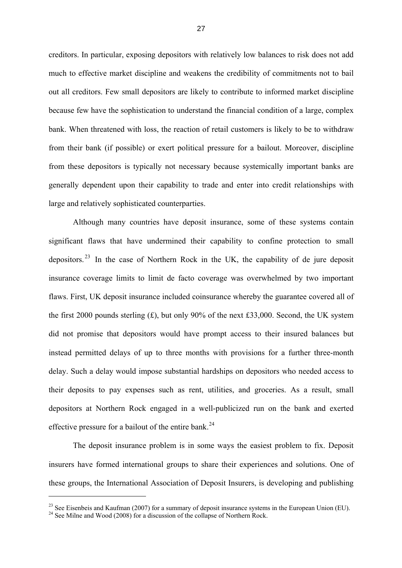creditors. In particular, exposing depositors with relatively low balances to risk does not add much to effective market discipline and weakens the credibility of commitments not to bail out all creditors. Few small depositors are likely to contribute to informed market discipline because few have the sophistication to understand the financial condition of a large, complex bank. When threatened with loss, the reaction of retail customers is likely to be to withdraw from their bank (if possible) or exert political pressure for a bailout. Moreover, discipline from these depositors is typically not necessary because systemically important banks are generally dependent upon their capability to trade and enter into credit relationships with large and relatively sophisticated counterparties.

Although many countries have deposit insurance, some of these systems contain significant flaws that have undermined their capability to confine protection to small depositors.<sup>[23](#page-28-0)</sup> In the case of Northern Rock in the UK, the capability of de jure deposit insurance coverage limits to limit de facto coverage was overwhelmed by two important flaws. First, UK deposit insurance included coinsurance whereby the guarantee covered all of the first 2000 pounds sterling  $(f)$ , but only 90% of the next £33,000. Second, the UK system did not promise that depositors would have prompt access to their insured balances but instead permitted delays of up to three months with provisions for a further three-month delay. Such a delay would impose substantial hardships on depositors who needed access to their deposits to pay expenses such as rent, utilities, and groceries. As a result, small depositors at Northern Rock engaged in a well-publicized run on the bank and exerted effective pressure for a bailout of the entire bank.<sup>[24](#page-28-1)</sup>

The deposit insurance problem is in some ways the easiest problem to fix. Deposit insurers have formed international groups to share their experiences and solutions. One of these groups, the International Association of Deposit Insurers, is developing and publishing

<span id="page-28-0"></span><sup>&</sup>lt;sup>23</sup> See Eisenbeis and Kaufman (2007) for a summary of deposit insurance systems in the European Union (EU).

<span id="page-28-1"></span> $24$  See Milne and Wood (2008) for a discussion of the collapse of Northern Rock.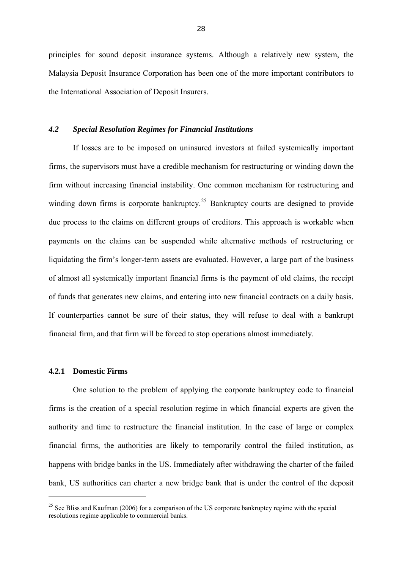principles for sound deposit insurance systems. Although a relatively new system, the Malaysia Deposit Insurance Corporation has been one of the more important contributors to the International Association of Deposit Insurers.

#### *4.2 Special Resolution Regimes for Financial Institutions*

If losses are to be imposed on uninsured investors at failed systemically important firms, the supervisors must have a credible mechanism for restructuring or winding down the firm without increasing financial instability. One common mechanism for restructuring and winding down firms is corporate bankruptcy.<sup>[25](#page-29-0)</sup> Bankruptcy courts are designed to provide due process to the claims on different groups of creditors. This approach is workable when payments on the claims can be suspended while alternative methods of restructuring or liquidating the firm's longer-term assets are evaluated. However, a large part of the business of almost all systemically important financial firms is the payment of old claims, the receipt of funds that generates new claims, and entering into new financial contracts on a daily basis. If counterparties cannot be sure of their status, they will refuse to deal with a bankrupt financial firm, and that firm will be forced to stop operations almost immediately.

#### **4.2.1 Domestic Firms**

One solution to the problem of applying the corporate bankruptcy code to financial firms is the creation of a special resolution regime in which financial experts are given the authority and time to restructure the financial institution. In the case of large or complex financial firms, the authorities are likely to temporarily control the failed institution, as happens with bridge banks in the US. Immediately after withdrawing the charter of the failed bank, US authorities can charter a new bridge bank that is under the control of the deposit

<span id="page-29-0"></span> $25$  See Bliss and Kaufman (2006) for a comparison of the US corporate bankruptcy regime with the special resolutions regime applicable to commercial banks.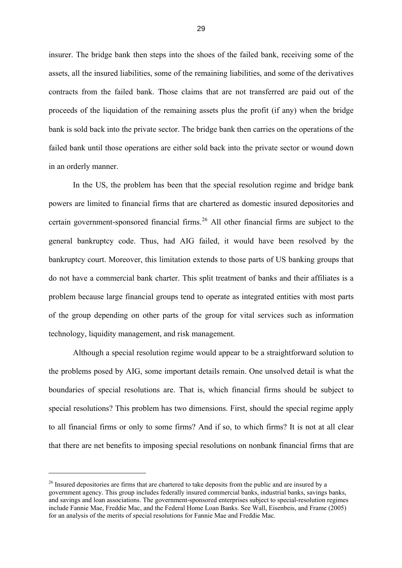insurer. The bridge bank then steps into the shoes of the failed bank, receiving some of the assets, all the insured liabilities, some of the remaining liabilities, and some of the derivatives contracts from the failed bank. Those claims that are not transferred are paid out of the proceeds of the liquidation of the remaining assets plus the profit (if any) when the bridge bank is sold back into the private sector. The bridge bank then carries on the operations of the failed bank until those operations are either sold back into the private sector or wound down in an orderly manner.

In the US, the problem has been that the special resolution regime and bridge bank powers are limited to financial firms that are chartered as domestic insured depositories and certain government-sponsored financial firms.<sup>[26](#page-30-0)</sup> All other financial firms are subject to the general bankruptcy code. Thus, had AIG failed, it would have been resolved by the bankruptcy court. Moreover, this limitation extends to those parts of US banking groups that do not have a commercial bank charter. This split treatment of banks and their affiliates is a problem because large financial groups tend to operate as integrated entities with most parts of the group depending on other parts of the group for vital services such as information technology, liquidity management, and risk management.

Although a special resolution regime would appear to be a straightforward solution to the problems posed by AIG, some important details remain. One unsolved detail is what the boundaries of special resolutions are. That is, which financial firms should be subject to special resolutions? This problem has two dimensions. First, should the special regime apply to all financial firms or only to some firms? And if so, to which firms? It is not at all clear that there are net benefits to imposing special resolutions on nonbank financial firms that are

<span id="page-30-0"></span><sup>&</sup>lt;sup>26</sup> Insured depositories are firms that are chartered to take deposits from the public and are insured by a government agency. This group includes federally insured commercial banks, industrial banks, savings banks, and savings and loan associations. The government-sponsored enterprises subject to special-resolution regimes include Fannie Mae, Freddie Mac, and the Federal Home Loan Banks. See Wall, Eisenbeis, and Frame (2005) for an analysis of the merits of special resolutions for Fannie Mae and Freddie Mac.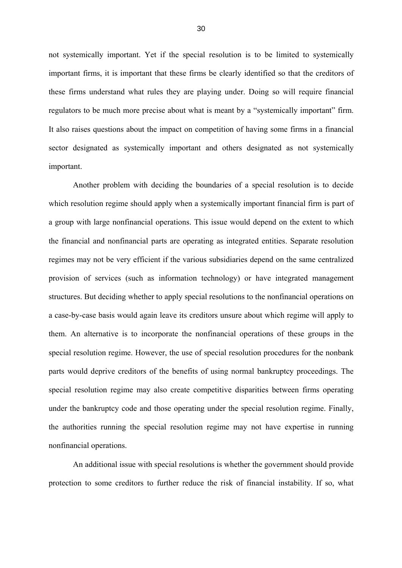not systemically important. Yet if the special resolution is to be limited to systemically important firms, it is important that these firms be clearly identified so that the creditors of these firms understand what rules they are playing under. Doing so will require financial regulators to be much more precise about what is meant by a "systemically important" firm. It also raises questions about the impact on competition of having some firms in a financial sector designated as systemically important and others designated as not systemically important.

Another problem with deciding the boundaries of a special resolution is to decide which resolution regime should apply when a systemically important financial firm is part of a group with large nonfinancial operations. This issue would depend on the extent to which the financial and nonfinancial parts are operating as integrated entities. Separate resolution regimes may not be very efficient if the various subsidiaries depend on the same centralized provision of services (such as information technology) or have integrated management structures. But deciding whether to apply special resolutions to the nonfinancial operations on a case-by-case basis would again leave its creditors unsure about which regime will apply to them. An alternative is to incorporate the nonfinancial operations of these groups in the special resolution regime. However, the use of special resolution procedures for the nonbank parts would deprive creditors of the benefits of using normal bankruptcy proceedings. The special resolution regime may also create competitive disparities between firms operating under the bankruptcy code and those operating under the special resolution regime. Finally, the authorities running the special resolution regime may not have expertise in running nonfinancial operations.

An additional issue with special resolutions is whether the government should provide protection to some creditors to further reduce the risk of financial instability. If so, what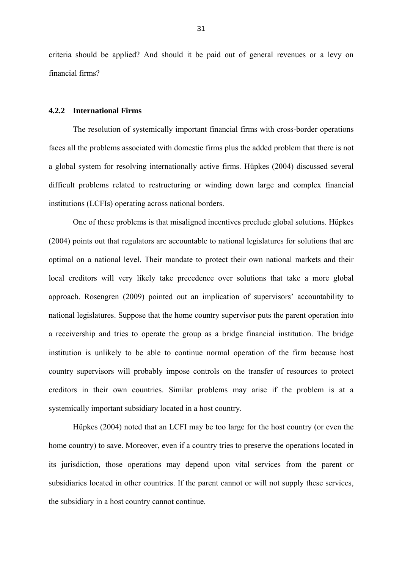criteria should be applied? And should it be paid out of general revenues or a levy on financial firms?

#### **4.2.2 International Firms**

The resolution of systemically important financial firms with cross-border operations faces all the problems associated with domestic firms plus the added problem that there is not a global system for resolving internationally active firms. Hüpkes (2004) discussed several difficult problems related to restructuring or winding down large and complex financial institutions (LCFIs) operating across national borders.

One of these problems is that misaligned incentives preclude global solutions. Hüpkes (2004) points out that regulators are accountable to national legislatures for solutions that are optimal on a national level. Their mandate to protect their own national markets and their local creditors will very likely take precedence over solutions that take a more global approach. Rosengren (2009) pointed out an implication of supervisors' accountability to national legislatures. Suppose that the home country supervisor puts the parent operation into a receivership and tries to operate the group as a bridge financial institution. The bridge institution is unlikely to be able to continue normal operation of the firm because host country supervisors will probably impose controls on the transfer of resources to protect creditors in their own countries. Similar problems may arise if the problem is at a systemically important subsidiary located in a host country.

Hüpkes (2004) noted that an LCFI may be too large for the host country (or even the home country) to save. Moreover, even if a country tries to preserve the operations located in its jurisdiction, those operations may depend upon vital services from the parent or subsidiaries located in other countries. If the parent cannot or will not supply these services, the subsidiary in a host country cannot continue.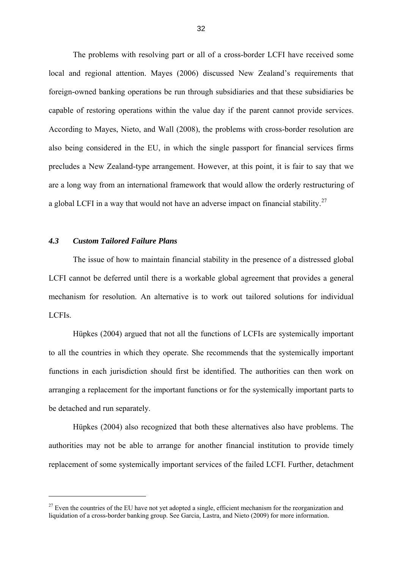The problems with resolving part or all of a cross-border LCFI have received some local and regional attention. Mayes (2006) discussed New Zealand's requirements that foreign-owned banking operations be run through subsidiaries and that these subsidiaries be capable of restoring operations within the value day if the parent cannot provide services. According to Mayes, Nieto, and Wall (2008), the problems with cross-border resolution are also being considered in the EU, in which the single passport for financial services firms precludes a New Zealand-type arrangement. However, at this point, it is fair to say that we are a long way from an international framework that would allow the orderly restructuring of a global LCFI in a way that would not have an adverse impact on financial stability.<sup>[27](#page-33-0)</sup>

#### *4.3 Custom Tailored Failure Plans*

The issue of how to maintain financial stability in the presence of a distressed global LCFI cannot be deferred until there is a workable global agreement that provides a general mechanism for resolution. An alternative is to work out tailored solutions for individual LCFIs.

 Hüpkes (2004) argued that not all the functions of LCFIs are systemically important to all the countries in which they operate. She recommends that the systemically important functions in each jurisdiction should first be identified. The authorities can then work on arranging a replacement for the important functions or for the systemically important parts to be detached and run separately.

Hüpkes (2004) also recognized that both these alternatives also have problems. The authorities may not be able to arrange for another financial institution to provide timely replacement of some systemically important services of the failed LCFI. Further, detachment

<span id="page-33-0"></span> $27$  Even the countries of the EU have not yet adopted a single, efficient mechanism for the reorganization and liquidation of a cross-border banking group. See Garcia, Lastra, and Nieto (2009) for more information.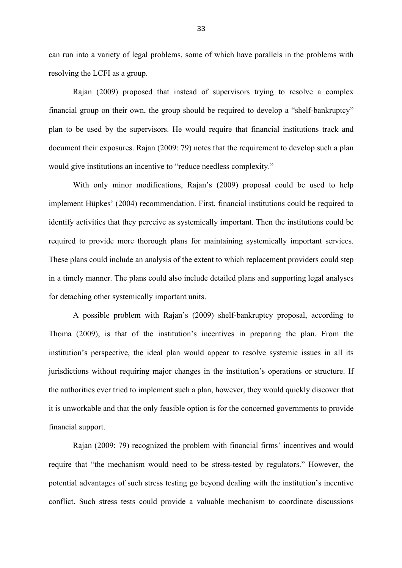can run into a variety of legal problems, some of which have parallels in the problems with resolving the LCFI as a group.

Rajan (2009) proposed that instead of supervisors trying to resolve a complex financial group on their own, the group should be required to develop a "shelf-bankruptcy" plan to be used by the supervisors. He would require that financial institutions track and document their exposures. Rajan (2009: 79) notes that the requirement to develop such a plan would give institutions an incentive to "reduce needless complexity."

With only minor modifications, Rajan's (2009) proposal could be used to help implement Hüpkes' (2004) recommendation. First, financial institutions could be required to identify activities that they perceive as systemically important. Then the institutions could be required to provide more thorough plans for maintaining systemically important services. These plans could include an analysis of the extent to which replacement providers could step in a timely manner. The plans could also include detailed plans and supporting legal analyses for detaching other systemically important units.

A possible problem with Rajan's (2009) shelf-bankruptcy proposal, according to Thoma (2009), is that of the institution's incentives in preparing the plan. From the institution's perspective, the ideal plan would appear to resolve systemic issues in all its jurisdictions without requiring major changes in the institution's operations or structure. If the authorities ever tried to implement such a plan, however, they would quickly discover that it is unworkable and that the only feasible option is for the concerned governments to provide financial support.

Rajan (2009: 79) recognized the problem with financial firms' incentives and would require that "the mechanism would need to be stress-tested by regulators." However, the potential advantages of such stress testing go beyond dealing with the institution's incentive conflict. Such stress tests could provide a valuable mechanism to coordinate discussions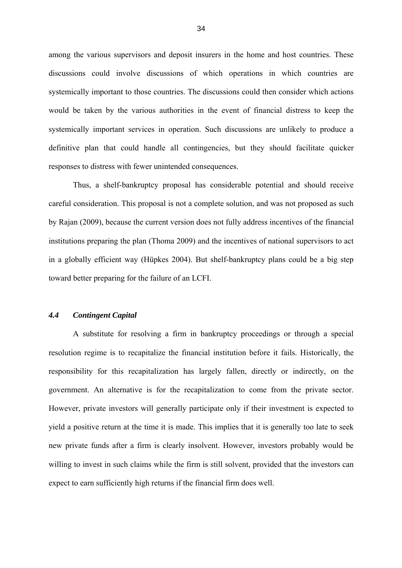among the various supervisors and deposit insurers in the home and host countries. These discussions could involve discussions of which operations in which countries are systemically important to those countries. The discussions could then consider which actions would be taken by the various authorities in the event of financial distress to keep the systemically important services in operation. Such discussions are unlikely to produce a definitive plan that could handle all contingencies, but they should facilitate quicker responses to distress with fewer unintended consequences.

Thus, a shelf-bankruptcy proposal has considerable potential and should receive careful consideration. This proposal is not a complete solution, and was not proposed as such by Rajan (2009), because the current version does not fully address incentives of the financial institutions preparing the plan (Thoma 2009) and the incentives of national supervisors to act in a globally efficient way (Hüpkes 2004). But shelf-bankruptcy plans could be a big step toward better preparing for the failure of an LCFI.

#### *4.4 Contingent Capital*

A substitute for resolving a firm in bankruptcy proceedings or through a special resolution regime is to recapitalize the financial institution before it fails. Historically, the responsibility for this recapitalization has largely fallen, directly or indirectly, on the government. An alternative is for the recapitalization to come from the private sector. However, private investors will generally participate only if their investment is expected to yield a positive return at the time it is made. This implies that it is generally too late to seek new private funds after a firm is clearly insolvent. However, investors probably would be willing to invest in such claims while the firm is still solvent, provided that the investors can expect to earn sufficiently high returns if the financial firm does well.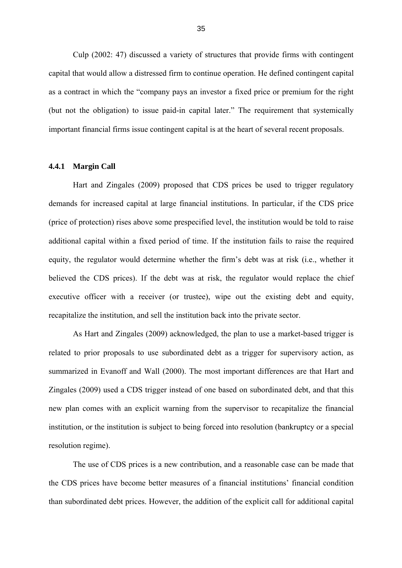Culp (2002: 47) discussed a variety of structures that provide firms with contingent capital that would allow a distressed firm to continue operation. He defined contingent capital as a contract in which the "company pays an investor a fixed price or premium for the right (but not the obligation) to issue paid-in capital later." The requirement that systemically important financial firms issue contingent capital is at the heart of several recent proposals.

#### **4.4.1 Margin Call**

Hart and Zingales (2009) proposed that CDS prices be used to trigger regulatory demands for increased capital at large financial institutions. In particular, if the CDS price (price of protection) rises above some prespecified level, the institution would be told to raise additional capital within a fixed period of time. If the institution fails to raise the required equity, the regulator would determine whether the firm's debt was at risk (i.e., whether it believed the CDS prices). If the debt was at risk, the regulator would replace the chief executive officer with a receiver (or trustee), wipe out the existing debt and equity, recapitalize the institution, and sell the institution back into the private sector.

As Hart and Zingales (2009) acknowledged, the plan to use a market-based trigger is related to prior proposals to use subordinated debt as a trigger for supervisory action, as summarized in Evanoff and Wall (2000). The most important differences are that Hart and Zingales (2009) used a CDS trigger instead of one based on subordinated debt, and that this new plan comes with an explicit warning from the supervisor to recapitalize the financial institution, or the institution is subject to being forced into resolution (bankruptcy or a special resolution regime).

The use of CDS prices is a new contribution, and a reasonable case can be made that the CDS prices have become better measures of a financial institutions' financial condition than subordinated debt prices. However, the addition of the explicit call for additional capital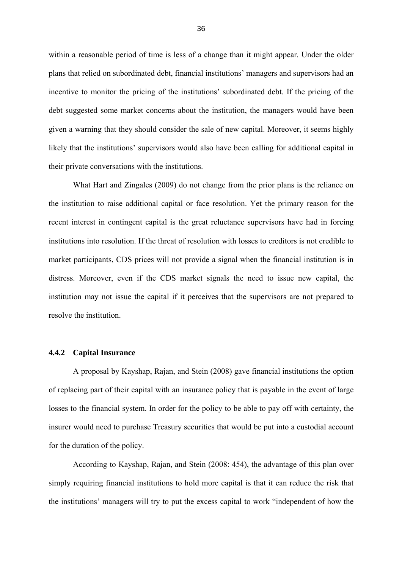within a reasonable period of time is less of a change than it might appear. Under the older plans that relied on subordinated debt, financial institutions' managers and supervisors had an incentive to monitor the pricing of the institutions' subordinated debt. If the pricing of the debt suggested some market concerns about the institution, the managers would have been given a warning that they should consider the sale of new capital. Moreover, it seems highly likely that the institutions' supervisors would also have been calling for additional capital in their private conversations with the institutions.

What Hart and Zingales (2009) do not change from the prior plans is the reliance on the institution to raise additional capital or face resolution. Yet the primary reason for the recent interest in contingent capital is the great reluctance supervisors have had in forcing institutions into resolution. If the threat of resolution with losses to creditors is not credible to market participants, CDS prices will not provide a signal when the financial institution is in distress. Moreover, even if the CDS market signals the need to issue new capital, the institution may not issue the capital if it perceives that the supervisors are not prepared to resolve the institution.

#### **4.4.2 Capital Insurance**

A proposal by Kayshap, Rajan, and Stein (2008) gave financial institutions the option of replacing part of their capital with an insurance policy that is payable in the event of large losses to the financial system. In order for the policy to be able to pay off with certainty, the insurer would need to purchase Treasury securities that would be put into a custodial account for the duration of the policy.

According to Kayshap, Rajan, and Stein (2008: 454), the advantage of this plan over simply requiring financial institutions to hold more capital is that it can reduce the risk that the institutions' managers will try to put the excess capital to work "independent of how the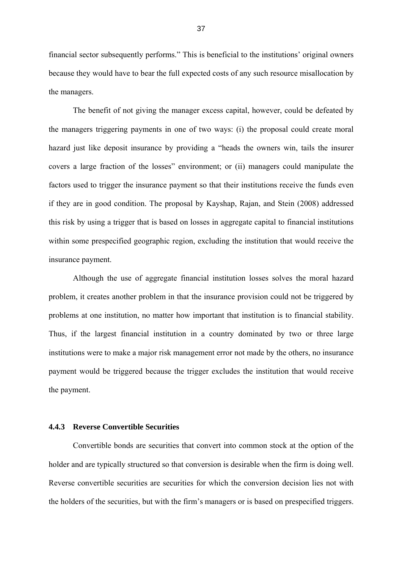financial sector subsequently performs." This is beneficial to the institutions' original owners because they would have to bear the full expected costs of any such resource misallocation by the managers.

The benefit of not giving the manager excess capital, however, could be defeated by the managers triggering payments in one of two ways: (i) the proposal could create moral hazard just like deposit insurance by providing a "heads the owners win, tails the insurer covers a large fraction of the losses" environment; or (ii) managers could manipulate the factors used to trigger the insurance payment so that their institutions receive the funds even if they are in good condition. The proposal by Kayshap, Rajan, and Stein (2008) addressed this risk by using a trigger that is based on losses in aggregate capital to financial institutions within some prespecified geographic region, excluding the institution that would receive the insurance payment.

Although the use of aggregate financial institution losses solves the moral hazard problem, it creates another problem in that the insurance provision could not be triggered by problems at one institution, no matter how important that institution is to financial stability. Thus, if the largest financial institution in a country dominated by two or three large institutions were to make a major risk management error not made by the others, no insurance payment would be triggered because the trigger excludes the institution that would receive the payment.

#### **4.4.3 Reverse Convertible Securities**

Convertible bonds are securities that convert into common stock at the option of the holder and are typically structured so that conversion is desirable when the firm is doing well. Reverse convertible securities are securities for which the conversion decision lies not with the holders of the securities, but with the firm's managers or is based on prespecified triggers.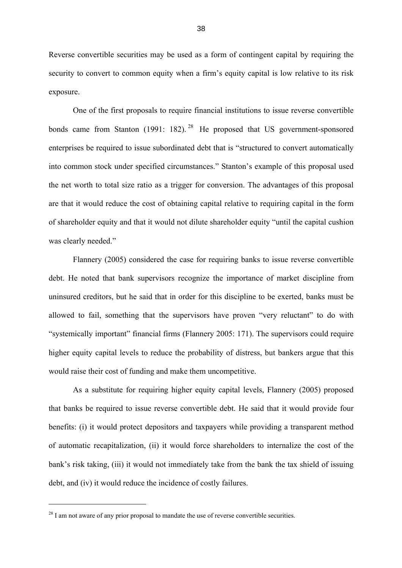Reverse convertible securities may be used as a form of contingent capital by requiring the security to convert to common equity when a firm's equity capital is low relative to its risk exposure.

One of the first proposals to require financial institutions to issue reverse convertible bonds came from Stanton  $(1991: 182)$ . <sup>[28](#page-39-0)</sup> He proposed that US government-sponsored enterprises be required to issue subordinated debt that is "structured to convert automatically into common stock under specified circumstances." Stanton's example of this proposal used the net worth to total size ratio as a trigger for conversion. The advantages of this proposal are that it would reduce the cost of obtaining capital relative to requiring capital in the form of shareholder equity and that it would not dilute shareholder equity "until the capital cushion was clearly needed."

Flannery (2005) considered the case for requiring banks to issue reverse convertible debt. He noted that bank supervisors recognize the importance of market discipline from uninsured creditors, but he said that in order for this discipline to be exerted, banks must be allowed to fail, something that the supervisors have proven "very reluctant" to do with "systemically important" financial firms (Flannery 2005: 171). The supervisors could require higher equity capital levels to reduce the probability of distress, but bankers argue that this would raise their cost of funding and make them uncompetitive.

As a substitute for requiring higher equity capital levels, Flannery (2005) proposed that banks be required to issue reverse convertible debt. He said that it would provide four benefits: (i) it would protect depositors and taxpayers while providing a transparent method of automatic recapitalization, (ii) it would force shareholders to internalize the cost of the bank's risk taking, (iii) it would not immediately take from the bank the tax shield of issuing debt, and (iv) it would reduce the incidence of costly failures.

<span id="page-39-0"></span> $28$  I am not aware of any prior proposal to mandate the use of reverse convertible securities.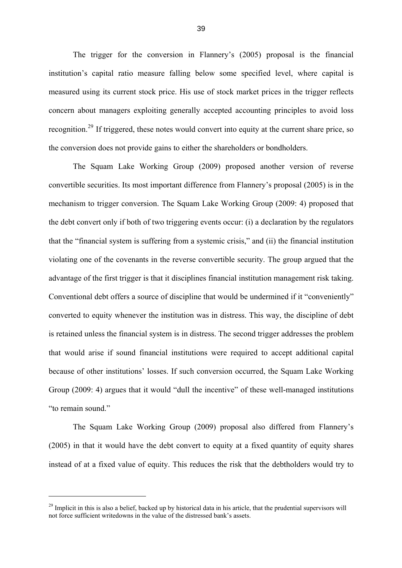The trigger for the conversion in Flannery's (2005) proposal is the financial institution's capital ratio measure falling below some specified level, where capital is measured using its current stock price. His use of stock market prices in the trigger reflects concern about managers exploiting generally accepted accounting principles to avoid loss recognition.<sup>[29](#page-40-0)</sup> If triggered, these notes would convert into equity at the current share price, so the conversion does not provide gains to either the shareholders or bondholders.

The Squam Lake Working Group (2009) proposed another version of reverse convertible securities. Its most important difference from Flannery's proposal (2005) is in the mechanism to trigger conversion. The Squam Lake Working Group (2009: 4) proposed that the debt convert only if both of two triggering events occur: (i) a declaration by the regulators that the "financial system is suffering from a systemic crisis," and (ii) the financial institution violating one of the covenants in the reverse convertible security. The group argued that the advantage of the first trigger is that it disciplines financial institution management risk taking. Conventional debt offers a source of discipline that would be undermined if it "conveniently" converted to equity whenever the institution was in distress. This way, the discipline of debt is retained unless the financial system is in distress. The second trigger addresses the problem that would arise if sound financial institutions were required to accept additional capital because of other institutions' losses. If such conversion occurred, the Squam Lake Working Group (2009: 4) argues that it would "dull the incentive" of these well-managed institutions "to remain sound."

The Squam Lake Working Group (2009) proposal also differed from Flannery's (2005) in that it would have the debt convert to equity at a fixed quantity of equity shares instead of at a fixed value of equity. This reduces the risk that the debtholders would try to

<span id="page-40-0"></span> $29$  Implicit in this is also a belief, backed up by historical data in his article, that the prudential supervisors will not force sufficient writedowns in the value of the distressed bank's assets.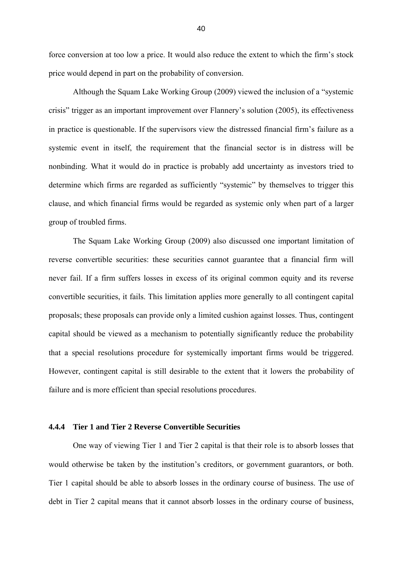force conversion at too low a price. It would also reduce the extent to which the firm's stock price would depend in part on the probability of conversion.

Although the Squam Lake Working Group (2009) viewed the inclusion of a "systemic crisis" trigger as an important improvement over Flannery's solution (2005), its effectiveness in practice is questionable. If the supervisors view the distressed financial firm's failure as a systemic event in itself, the requirement that the financial sector is in distress will be nonbinding. What it would do in practice is probably add uncertainty as investors tried to determine which firms are regarded as sufficiently "systemic" by themselves to trigger this clause, and which financial firms would be regarded as systemic only when part of a larger group of troubled firms.

The Squam Lake Working Group (2009) also discussed one important limitation of reverse convertible securities: these securities cannot guarantee that a financial firm will never fail. If a firm suffers losses in excess of its original common equity and its reverse convertible securities, it fails. This limitation applies more generally to all contingent capital proposals; these proposals can provide only a limited cushion against losses. Thus, contingent capital should be viewed as a mechanism to potentially significantly reduce the probability that a special resolutions procedure for systemically important firms would be triggered. However, contingent capital is still desirable to the extent that it lowers the probability of failure and is more efficient than special resolutions procedures.

#### **4.4.4 Tier 1 and Tier 2 Reverse Convertible Securities**

One way of viewing Tier 1 and Tier 2 capital is that their role is to absorb losses that would otherwise be taken by the institution's creditors, or government guarantors, or both. Tier 1 capital should be able to absorb losses in the ordinary course of business. The use of debt in Tier 2 capital means that it cannot absorb losses in the ordinary course of business,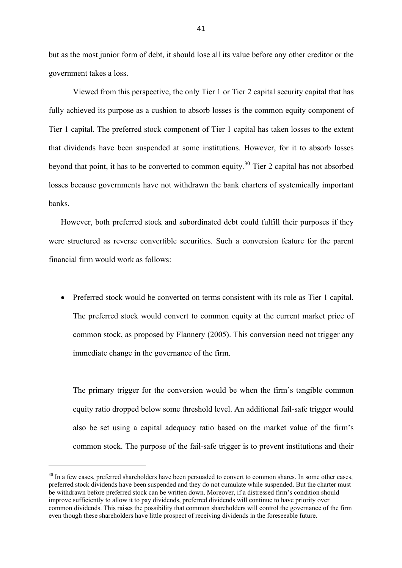but as the most junior form of debt, it should lose all its value before any other creditor or the government takes a loss.

Viewed from this perspective, the only Tier 1 or Tier 2 capital security capital that has fully achieved its purpose as a cushion to absorb losses is the common equity component of Tier 1 capital. The preferred stock component of Tier 1 capital has taken losses to the extent that dividends have been suspended at some institutions. However, for it to absorb losses beyond that point, it has to be converted to common equity.<sup>[30](#page-42-0)</sup> Tier 2 capital has not absorbed losses because governments have not withdrawn the bank charters of systemically important banks.

However, both preferred stock and subordinated debt could fulfill their purposes if they were structured as reverse convertible securities. Such a conversion feature for the parent financial firm would work as follows:

• Preferred stock would be converted on terms consistent with its role as Tier 1 capital. The preferred stock would convert to common equity at the current market price of common stock, as proposed by Flannery (2005). This conversion need not trigger any immediate change in the governance of the firm.

The primary trigger for the conversion would be when the firm's tangible common equity ratio dropped below some threshold level. An additional fail-safe trigger would also be set using a capital adequacy ratio based on the market value of the firm's common stock. The purpose of the fail-safe trigger is to prevent institutions and their

 $\overline{a}$ 

<span id="page-42-0"></span><sup>&</sup>lt;sup>30</sup> In a few cases, preferred shareholders have been persuaded to convert to common shares. In some other cases, preferred stock dividends have been suspended and they do not cumulate while suspended. But the charter must be withdrawn before preferred stock can be written down. Moreover, if a distressed firm's condition should improve sufficiently to allow it to pay dividends, preferred dividends will continue to have priority over common dividends. This raises the possibility that common shareholders will control the governance of the firm even though these shareholders have little prospect of receiving dividends in the foreseeable future.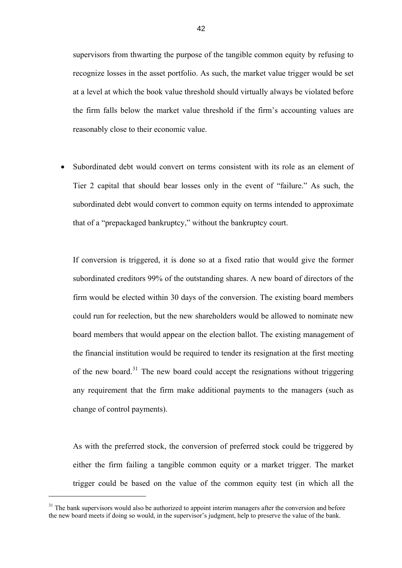supervisors from thwarting the purpose of the tangible common equity by refusing to recognize losses in the asset portfolio. As such, the market value trigger would be set at a level at which the book value threshold should virtually always be violated before the firm falls below the market value threshold if the firm's accounting values are reasonably close to their economic value.

• Subordinated debt would convert on terms consistent with its role as an element of Tier 2 capital that should bear losses only in the event of "failure." As such, the subordinated debt would convert to common equity on terms intended to approximate that of a "prepackaged bankruptcy," without the bankruptcy court.

If conversion is triggered, it is done so at a fixed ratio that would give the former subordinated creditors 99% of the outstanding shares. A new board of directors of the firm would be elected within 30 days of the conversion. The existing board members could run for reelection, but the new shareholders would be allowed to nominate new board members that would appear on the election ballot. The existing management of the financial institution would be required to tender its resignation at the first meeting of the new board.[31](#page-43-0) The new board could accept the resignations without triggering any requirement that the firm make additional payments to the managers (such as change of control payments).

As with the preferred stock, the conversion of preferred stock could be triggered by either the firm failing a tangible common equity or a market trigger. The market trigger could be based on the value of the common equity test (in which all the

<span id="page-43-0"></span> $31$  The bank supervisors would also be authorized to appoint interim managers after the conversion and before the new board meets if doing so would, in the supervisor's judgment, help to preserve the value of the bank.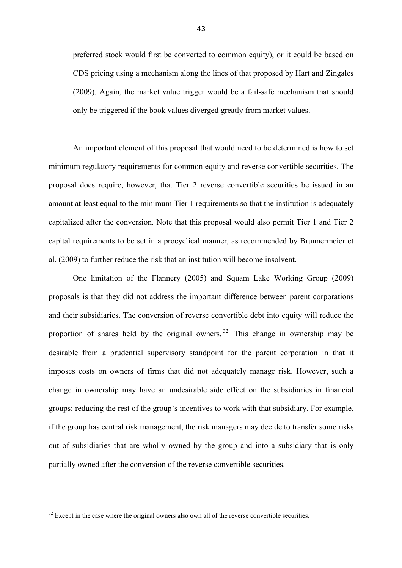preferred stock would first be converted to common equity), or it could be based on CDS pricing using a mechanism along the lines of that proposed by Hart and Zingales (2009). Again, the market value trigger would be a fail-safe mechanism that should only be triggered if the book values diverged greatly from market values.

An important element of this proposal that would need to be determined is how to set minimum regulatory requirements for common equity and reverse convertible securities. The proposal does require, however, that Tier 2 reverse convertible securities be issued in an amount at least equal to the minimum Tier 1 requirements so that the institution is adequately capitalized after the conversion. Note that this proposal would also permit Tier 1 and Tier 2 capital requirements to be set in a procyclical manner, as recommended by Brunnermeier et al. (2009) to further reduce the risk that an institution will become insolvent.

One limitation of the Flannery (2005) and Squam Lake Working Group (2009) proposals is that they did not address the important difference between parent corporations and their subsidiaries. The conversion of reverse convertible debt into equity will reduce the proportion of shares held by the original owners.<sup>[32](#page-44-0)</sup> This change in ownership may be desirable from a prudential supervisory standpoint for the parent corporation in that it imposes costs on owners of firms that did not adequately manage risk. However, such a change in ownership may have an undesirable side effect on the subsidiaries in financial groups: reducing the rest of the group's incentives to work with that subsidiary. For example, if the group has central risk management, the risk managers may decide to transfer some risks out of subsidiaries that are wholly owned by the group and into a subsidiary that is only partially owned after the conversion of the reverse convertible securities.

<span id="page-44-0"></span> $32$  Except in the case where the original owners also own all of the reverse convertible securities.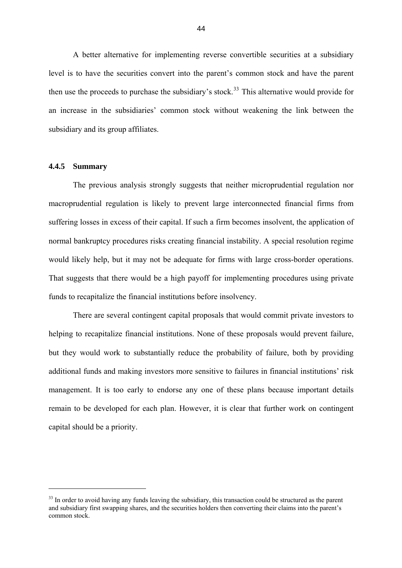A better alternative for implementing reverse convertible securities at a subsidiary level is to have the securities convert into the parent's common stock and have the parent then use the proceeds to purchase the subsidiary's stock.<sup>[33](#page-45-0)</sup> This alternative would provide for an increase in the subsidiaries' common stock without weakening the link between the subsidiary and its group affiliates.

#### **4.4.5 Summary**

 $\overline{a}$ 

The previous analysis strongly suggests that neither microprudential regulation nor macroprudential regulation is likely to prevent large interconnected financial firms from suffering losses in excess of their capital. If such a firm becomes insolvent, the application of normal bankruptcy procedures risks creating financial instability. A special resolution regime would likely help, but it may not be adequate for firms with large cross-border operations. That suggests that there would be a high payoff for implementing procedures using private funds to recapitalize the financial institutions before insolvency.

There are several contingent capital proposals that would commit private investors to helping to recapitalize financial institutions. None of these proposals would prevent failure, but they would work to substantially reduce the probability of failure, both by providing additional funds and making investors more sensitive to failures in financial institutions' risk management. It is too early to endorse any one of these plans because important details remain to be developed for each plan. However, it is clear that further work on contingent capital should be a priority.

<span id="page-45-0"></span> $33$  In order to avoid having any funds leaving the subsidiary, this transaction could be structured as the parent and subsidiary first swapping shares, and the securities holders then converting their claims into the parent's common stock.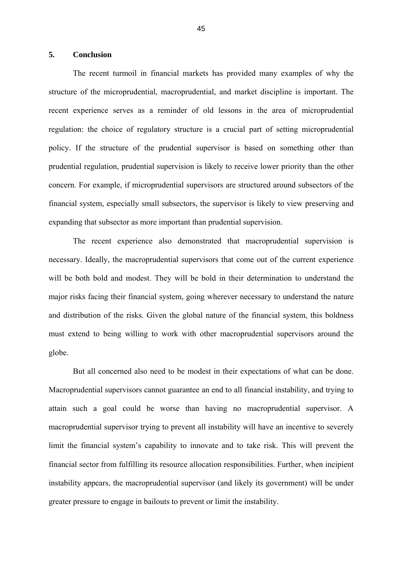#### **5. Conclusion**

The recent turmoil in financial markets has provided many examples of why the structure of the microprudential, macroprudential, and market discipline is important. The recent experience serves as a reminder of old lessons in the area of microprudential regulation: the choice of regulatory structure is a crucial part of setting microprudential policy. If the structure of the prudential supervisor is based on something other than prudential regulation, prudential supervision is likely to receive lower priority than the other concern. For example, if microprudential supervisors are structured around subsectors of the financial system, especially small subsectors, the supervisor is likely to view preserving and expanding that subsector as more important than prudential supervision.

The recent experience also demonstrated that macroprudential supervision is necessary. Ideally, the macroprudential supervisors that come out of the current experience will be both bold and modest. They will be bold in their determination to understand the major risks facing their financial system, going wherever necessary to understand the nature and distribution of the risks. Given the global nature of the financial system, this boldness must extend to being willing to work with other macroprudential supervisors around the globe.

But all concerned also need to be modest in their expectations of what can be done. Macroprudential supervisors cannot guarantee an end to all financial instability, and trying to attain such a goal could be worse than having no macroprudential supervisor. A macroprudential supervisor trying to prevent all instability will have an incentive to severely limit the financial system's capability to innovate and to take risk. This will prevent the financial sector from fulfilling its resource allocation responsibilities. Further, when incipient instability appears, the macroprudential supervisor (and likely its government) will be under greater pressure to engage in bailouts to prevent or limit the instability.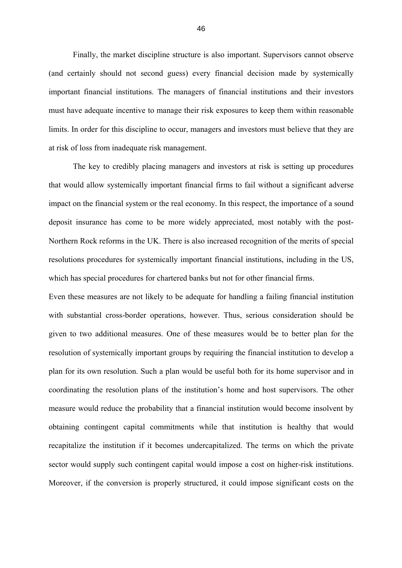Finally, the market discipline structure is also important. Supervisors cannot observe (and certainly should not second guess) every financial decision made by systemically important financial institutions. The managers of financial institutions and their investors must have adequate incentive to manage their risk exposures to keep them within reasonable limits. In order for this discipline to occur, managers and investors must believe that they are at risk of loss from inadequate risk management.

The key to credibly placing managers and investors at risk is setting up procedures that would allow systemically important financial firms to fail without a significant adverse impact on the financial system or the real economy. In this respect, the importance of a sound deposit insurance has come to be more widely appreciated, most notably with the post-Northern Rock reforms in the UK. There is also increased recognition of the merits of special resolutions procedures for systemically important financial institutions, including in the US, which has special procedures for chartered banks but not for other financial firms.

Even these measures are not likely to be adequate for handling a failing financial institution with substantial cross-border operations, however. Thus, serious consideration should be given to two additional measures. One of these measures would be to better plan for the resolution of systemically important groups by requiring the financial institution to develop a plan for its own resolution. Such a plan would be useful both for its home supervisor and in coordinating the resolution plans of the institution's home and host supervisors. The other measure would reduce the probability that a financial institution would become insolvent by obtaining contingent capital commitments while that institution is healthy that would recapitalize the institution if it becomes undercapitalized. The terms on which the private sector would supply such contingent capital would impose a cost on higher-risk institutions. Moreover, if the conversion is properly structured, it could impose significant costs on the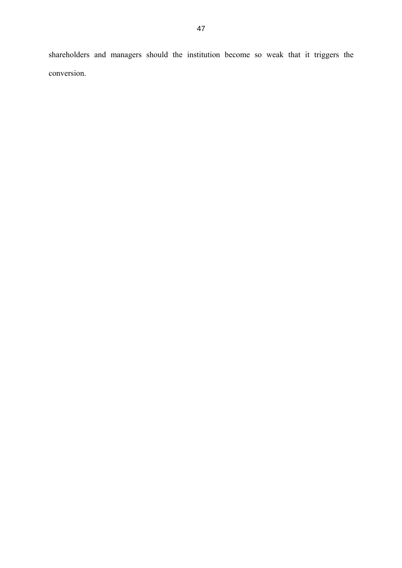shareholders and managers should the institution become so weak that it triggers the conversion.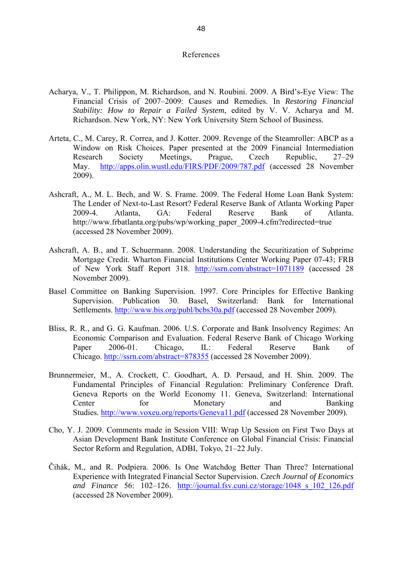#### References

- Acharya, V., T. Philippon, M. Richardson, and N. Roubini. 2009. A Bird's-Eye View: The Financial Crisis of 2007–2009: Causes and Remedies. In *Restoring Financial Stability: How to Repair a Failed System*, edited by V. V. Acharya and M. Richardson. New York, NY: New York University Stern School of Business.
- Arteta, C., M. Carey, R. Correa, and J. Kotter. 2009. Revenge of the Steamroller: ABCP as a Window on Risk Choices. Paper presented at the 2009 Financial Intermediation Research Society Meetings, Prague, Czech Republic, 27–29 May. <http://apps.olin.wustl.edu/FIRS/PDF/2009/787.pdf>(accessed 28 November 2009).
- Ashcra ft, A., M. L. Bech, and W. S. Frame. 2009. The Federal Home Loan Bank System: Atlanta. http://www.frbatlanta.org/pubs/wp/working\_paper\_2009-4.cfm?redirected=true (accessed 28 November 2009). The Lender of Next-to-Last Resort? Federal Reserve Bank of Atlanta Working Paper 2009-4. Atlanta, GA: Federal Reserve Bank of At
- Ashcra ft, A. B., and T. Schuermann. 2008. Understanding the Securitization of Subprime of New York Staff Report 318. http://ssrn.com/abstract=1071189 (accessed 28 Mortgage Credit. Wharton Financial Institutions Center Working Paper 07-43; FRB November 2009).
- Basel C ommittee on Banking Supervision. 1997. Core Principles for Effective Banking Supervision. Publication 30. Basel, Switzerland: Bank for International Settlements. http://www.bis.org/publ/bcbs30a.pdf (accessed 28 November 2009).
- Bliss, R . R., and G. G. Kaufman. 2006. U.S. Corporate and Bank Insolvency Regimes: An Reserve Bank of Chicago. http://ssrn.com/abstract=878355 (accessed 28 November 2009). Economic Comparison and Evaluation. Federal Reserve Bank of Chicago Working Paper 2006-01. Chicago, IL: Federal
- Brunne rmeier, M., A. Crockett, C. Goodhart, A. D. Persaud, and H. Shin. 2009. The Banking Studies. http://www.voxeu.org/reports/Geneval1.pdf (accessed 28 November 2009). Fundamental Principles of Financial Regulation: Preliminary Conference Draft. Geneva Reports on the World Economy 11. Geneva, Switzerland: International Center for Monetary and
- Cho, Y . J. 2009. Comments made in Session VIII: Wrap Up Session on First Two Days at Asian Development Bank Institute Conference on Global Financial Crisis: Financial Sector Reform and Regulation, ADBI, Tokyo, 21–22 July.
- Čihák, M., and R. Podpiera. 2006. Is One Watchdog Better Than Three? International and Finance 56: 102–126. http://journal.fsv.cuni.cz/storage/1048 s 102\_126.pdf Experience with Integrated Financial Sector Supervision. *Czech Journal of Economics*  (accessed 28 November 2009).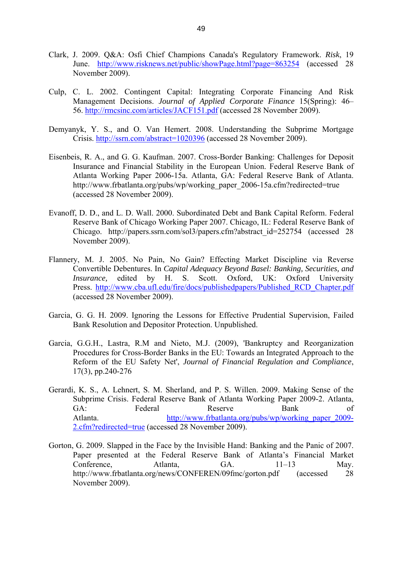- Clark, J. 2009. Q&A: Osfi Chief Champions Canada's Regulatory Framework. *Risk*, 19 June. <http://www.risknews.net/public/showPage.html?page=863254> (accessed 28 November 2009).
- Culp, C. L. 2002. Contingent Capital: Integrating Corporate Financing And Risk Management Decisions. *Journal of Applied Corporate Finance* 15(Spring): 46– 56. <http://rmcsinc.com/articles/JACF151.pdf>(accessed 28 November 2009).
- Demyanyk, Y. S., and O. Van Hemert. 2008. Understanding the Subprime Mortgage Crisis.<http://ssrn.com/abstract=1020396> (accessed 28 November 2009).
- Eisenbeis, R. A., and G. G. Kaufman. 2007. Cross-Border Banking: Challenges for Deposit Insurance and Financial Stability in the European Union. Federal Reserve Bank of Atlanta Working Paper 2006-15a. Atlanta, GA: Federal Reserve Bank of Atlanta. http://www.frbatlanta.org/pubs/wp/working\_paper\_2006-15a.cfm?redirected=true (accessed 28 November 2009).
- Evanoff, D. D., and L. D. Wall. 2000. Subordinated Debt and Bank Capital Reform. Federal Reserve Bank of Chicago Working Paper 2007. Chicago, IL: Federal Reserve Bank of Chicago. http://papers.ssrn.com/sol3/papers.cfm?abstract\_id=252754 (accessed 28 November 2009).
- Press. [http://www.cba.ufl.edu/fire/docs/publishedpapers/Published\\_RCD\\_Chapt](http://www.cba.ufl.edu/fire/docs/publishedpapers/Published_RCD_Chapter.pdf)er.pdf Flannery, M. J. 2005. No Pain, No Gain? Effecting Market Discipline via Reverse Convertible Debentures. In *Capital Adequacy Beyond Basel: Banking, Securities, and Insurance*, edited by H. S. Scott. Oxford, UK: Oxford University [\(accessed 28 November 2009\).](http://www.cba.ufl.edu/fire/docs/publishedpapers/Published_RCD_Chapter.pdf)
- Garcia, G. G. H. 2009. Ignoring the Lessons for Effective Prudential Supervision, Failed Bank Resolution and Depositor Protection. Unpublished.
- Garcia, G.G.H., Lastra, R.M and Nieto, M.J. (2009), 'Bankruptcy and Reorganization Procedures for Cross-Border Banks in the EU: Towards an Integrated Approach to the Reform of the EU Safety Net', *Journal of Financial Regulation and Compliance*, 17(3), pp.240-276
- Atlanta. [http://www.frbatlanta.org/pubs/wp/working\\_paper\\_](http://www.frbatlanta.org/pubs/wp/working_paper_2009-2.cfm?redirected=true)2009-Gerardi, K. S., A. Lehnert, S. M. Sherland, and P. S. Willen. 2009. Making Sense of the Subprime Crisis. Federal Reserve Bank of Atlanta Working Paper 2009-2. Atlanta, GA: Federal Reserve Bank of [2.cfm?redirected=true](http://www.frbatlanta.org/pubs/wp/working_paper_2009-2.cfm?redirected=true) (accessed 28 November 2009).
- Gorton, G. 2009. Slapped in the Face by the Invisible Hand: Banking and the Panic of 2007. Paper presented at the Federal Reserve Bank of Atlanta's Financial Market Conference, Atlanta, GA. 11–13 May. http://www.frbatlanta.org/news/CONFEREN/09fmc/gorton.pdf (accessed 28 November 2009).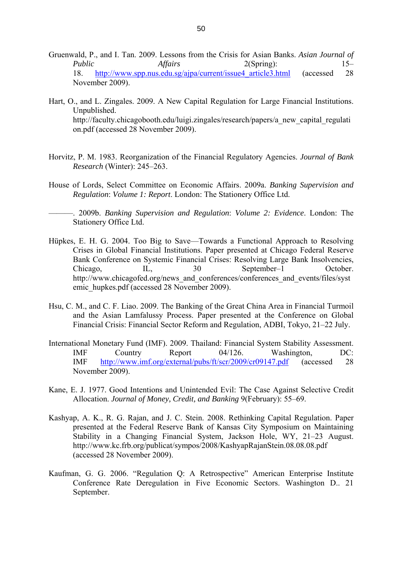- Gruenwald, P., and I. Tan. 2009. Lessons from the Crisis for Asian Banks. *Asian Journal of Public Affairs* 2(Spring): 15– 18. [http://www.spp.nus.edu.sg/ajpa/current/issue4\\_article3.html](http://www.spp.nus.edu.sg/ajpa/current/issue4_article3.html) (accessed 28 November 2009).
- Hart, O., and L. Zingales. 2009. A New Capital Regulation for Large Financial Institutions. Unpublished. http://faculty.chicagobooth.edu/luigi.zingales/research/papers/a\_new\_capital\_regulati on.pdf (accessed 28 November 2009).
- Horvitz, P. M. 1983. Reorganization of the Financial Regulatory Agencies. *Journal of Bank Research* (Winter): 245–263.
- House of Lords, Select Committee on Economic Affairs. 2009a. *Banking Supervision and Regulation*: *Volume 1: Report*. London: The Stationery Office Ltd.

———. 2009b. *Banking Supervision and Regulation*: *Volume 2: Evidence*. London: The Stationery Office Ltd.

- Hüpkes, E. H. G. 2004. Too Big to Save—Towards a Functional Approach to Resolving Crises in Global Financial Institutions. Paper presented at Chicago Federal Reserve Bank Conference on Systemic Financial Crises: Resolving Large Bank Insolvencies, Chicago, IL, 30 September–1 October. http://www.chicagofed.org/news\_and\_conferences/conferences\_and\_events/files/syst emic\_hupkes.pdf (accessed 28 November 2009).
- Hsu, C. M., and C. F. Liao. 2009. The Banking of the Great China Area in Financial Turmoil and the Asian Lamfalussy Process. Paper presented at the Conference on Global Financial Crisis: Financial Sector Reform and Regulation, ADBI, Tokyo, 21–22 July.
- International Monetary Fund (IMF). 2009. Thailand: Financial System Stability Assessment. IMF Country Report 04/126. Washington, DC: IMF <http://www.imf.org/external/pubs/ft/scr/2009/cr09147.pdf>(accessed 28 November 2009).
- Kane, E. J. 1977. Good Intentions and Unintended Evil: The Case Against Selective Credit Allocation. *Journal of Money, Credit, and Banking* 9(February): 55–69.
- Kashyap, A. K., R. G. Rajan, and J. C. Stein. 2008. Rethinking Capital Regulation. Paper presented at the Federal Reserve Bank of Kansas City Symposium on Maintaining Stability in a Changing Financial System, Jackson Hole, WY, 21–23 August. http://www.kc.frb.org/publicat/sympos/2008/KashyapRajanStein.08.08.08.pdf (accessed 28 November 2009).
- Kaufman, G. G. 2006. "Regulation Q: A Retrospective" American Enterprise Institute Conference Rate Deregulation in Five Economic Sectors. Washington D.. 21 September.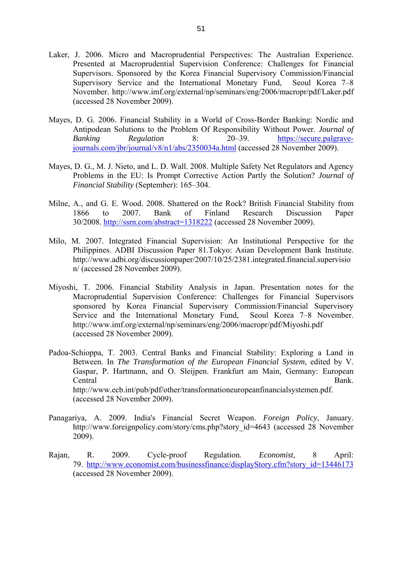- Laker, J. 2006. Micro and Macroprudential Perspectives: The Australian Experience. Presented at Macroprudential Supervision Conference: Challenges for Financial Supervisors. Sponsored by the Korea Financial Supervisory Commission/Financial Supervisory Service and the International Monetary Fund, Seoul Korea 7–8 November. http://www.imf.org/external/np/seminars/eng/2006/macropr/pdf/Laker.pdf (accessed 28 November 2009).
- Mayes, D. G. 2006. Financial Stability in a World of Cross-Border Banking: Nordic and Antipodean Solutions to the Problem Of Responsibility Without Power. *Journal of Banking Regulation* 8: 20–39. [https://secure.palgrave](https://secure.palgrave-journals.com/jbr/journal/v8/n1/abs/2350034a.html)[journals.com/jbr/journal/v8/n1/abs/2350034a.html](https://secure.palgrave-journals.com/jbr/journal/v8/n1/abs/2350034a.html) (accessed 28 November 2009).
- Mayes, D. G., M. J. Nieto, and L. D. Wall. 2008. Multiple Safety Net Regulators and Agency Problems in the EU: Is Prompt Corrective Action Partly the Solution? *Journal of Financial Stability* (September): 165–304.
- Milne, A., and G. E. Wood. 2008. Shattered on the Rock? British Financial Stability from 1866 to 2007. Bank of Finland Research Discussion Paper 30/2008.<http://ssrn.com/abstract=1318222> (accessed 28 November 2009).
- Milo, M. 2007. Integrated Financial Supervision: An Institutional Perspective for the Philippines. ADBI Discussion Paper 81.Tokyo: Asian Development Bank Institute. http://www.adbi.org/discussionpaper/2007/10/25/2381.integrated.financial.supervisio n/ (accessed 28 November 2009).
- Miyoshi, T. 2006. Financial Stability Analysis in Japan. Presentation notes for the Macroprudential Supervision Conference: Challenges for Financial Supervisors sponsored by Korea Financial Supervisory Commission/Financial Supervisory Service and the International Monetary Fund, Seoul Korea 7–8 November. http://www.imf.org/external/np/seminars/eng/2006/macropr/pdf/Miyoshi.pdf (accessed 28 November 2009).
- Padoa-Schioppa, T. 2003. Central Banks and Financial Stability: Exploring a Land in Between. In *The Transformation of the European Financial System*, edited by V. Gaspar, P. Hartmann, and O. Sleijpen. Frankfurt am Main, Germany: European Central Bank. http://www.ecb.int/pub/pdf/other/transformationeuropeanfinancialsystemen.pdf. (accessed 28 November 2009).
- Panagariya, A. 2009. India's Financial Secret Weapon. *Foreign Policy*, January. http://www.foreignpolicy.com/story/cms.php?story\_id=4643 (accessed 28 November 2009).
- Rajan, R. 2009. Cycle-proof Regulation. *Economist*, 8 April: 79. [http://www.economist.com/businessfinance/displayStory.cfm?story\\_id=134461](http://www.economist.com/businessfinance/displayStory.cfm?story_id=13446173)73 [\(accessed 28 November 2009\).](http://www.economist.com/businessfinance/displayStory.cfm?story_id=13446173)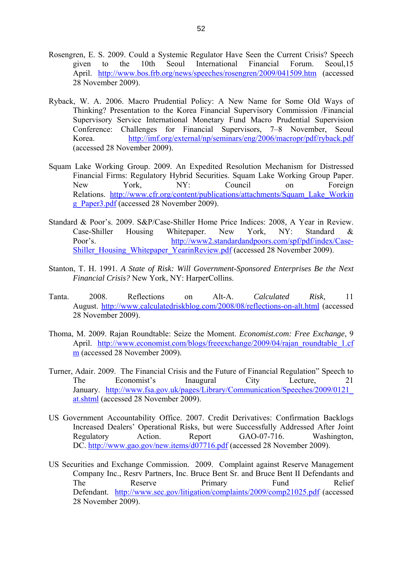- Rosengren, E. S. 2009. Could a Systemic Regulator Have Seen the Current Crisis? Speech given to the 10th Seoul International Financial Forum. Seoul,15 April. <http://www.bos.frb.org/news/speeches/rosengren/2009/041509.htm>(accessed 28 November 2009).
- Ryback, W. A. 2006. Macro Prudential Policy: A New Name for Some Old Ways of Thinking? Presentation to the Korea Financial Supervisory Commission /Financial Supervisory Service International Monetary Fund Macro Prudential Supervision Conference: Challenges for Financial Supervisors, 7–8 November, Seoul Korea. <http://imf.org/external/np/seminars/eng/2006/macropr/pdf/ryback.pdf> (accessed 28 November 2009).
- Squam Lake Working Group. 2009. An Expedited Resolution Mechanism for Distressed Financial Firms: Regulatory Hybrid Securities. Squam Lake Working Group Paper. New York, NY: Council on Foreign Relations. [http://www.cfr.org/content/publications/attachments/Squam\\_Lake\\_Workin](http://www.cfr.org/content/publications/attachments/Squam_Lake_Working_Paper3.pdf) [g\\_Paper3.pdf](http://www.cfr.org/content/publications/attachments/Squam_Lake_Working_Paper3.pdf) (accessed 28 November 2009).
- Poor's. [http://www2.standardandp](http://www2.standardandpoors.com/spf/pdf/index/Case-Shiller_Housing_Whitepaper_YearinReview.pdf)oors.com/spf/pdf/index/Case-Standard & Poor's. 2009. S&P/Case-Shiller Home Price Indices: 2008, A Year in Review. Case-Shiller Housing Whitepaper. New York, NY: Standard & [Shiller\\_Housing\\_Whitepaper\\_YearinReview.pdf](http://www2.standardandpoors.com/spf/pdf/index/Case-Shiller_Housing_Whitepaper_YearinReview.pdf) (accessed 28 November 2009).
- Stanton, T. H. 1991. *A State of Risk: Will Government-Sponsored Enterprises Be the Next Financial Crisis?* New York, NY: HarperCollins.
- Tanta. 2008. Reflections on Alt-A. *Calculated Risk*, 11 August. <http://www.calculatedriskblog.com/2008/08/reflections-on-alt.html>(accessed 28 November 2009).
- April. http://www.economist.com/blogs/freeexchange/2009/04/rajan\_roundtable\_1.cf Thoma, M. 2009. Rajan Roundtable: Seize the Moment. *Economist.com: Free Exchange*, 9 [m \(accessed 28 November 2009\).](http://www.economist.com/blogs/freeexchange/2009/04/rajan_roundtable_1.cfm)
- Turner, Adair. 2009. The Financial Crisis and the Future of Financial Regulation" Speech to The Economist's Inaugural City Lecture, 21 January. [http://www.fsa.gov.uk/pages/Library/Communication/Speeches/2009/0121\\_](http://www.fsa.gov.uk/pages/Library/Communication/Speeches/2009/0121_at.shtml) [at.shtml](http://www.fsa.gov.uk/pages/Library/Communication/Speeches/2009/0121_at.shtml) (accessed 28 November 2009).
- US Government Accountability Office. 2007. Credit Derivatives: Confirmation Backlogs Increased Dealers' Operational Risks, but were Successfully Addressed After Joint Regulatory Action. Report GAO-07-716. Washington, DC. <http://www.gao.gov/new.items/d07716.pdf> (accessed 28 November 2009).
- US Securities and Exchange Commission. 2009. Complaint against Reserve Management Company Inc., Resrv Partners, Inc. Bruce Bent Sr. and Bruce Bent II Defendants and The Reserve Primary Fund Relief Defendant. <http://www.sec.gov/litigation/complaints/2009/comp21025.pdf>(accessed 28 November 2009).